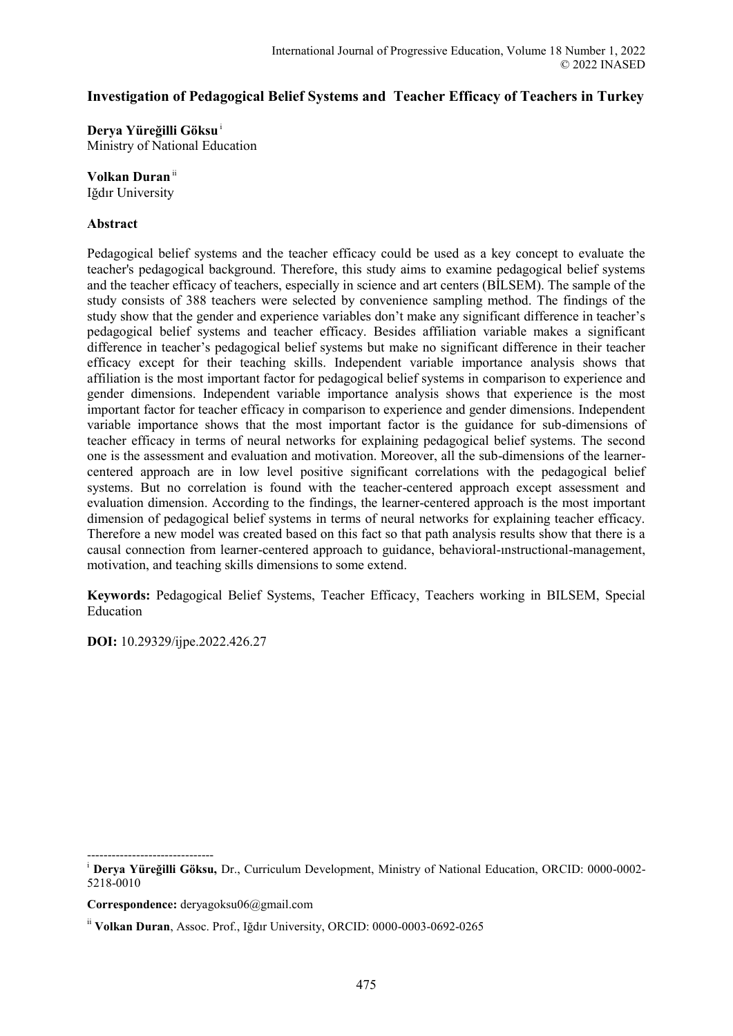# **Investigation of Pedagogical Belief Systems and Teacher Efficacy of Teachers in Turkey**

**Derya Yüreğilli Göksu**<sup>i</sup> Ministry of National Education

**Volkan Duran**ii

Iğdır University

#### **Abstract**

Pedagogical belief systems and the teacher efficacy could be used as a key concept to evaluate the teacher's pedagogical background. Therefore, this study aims to examine pedagogical belief systems and the teacher efficacy of teachers, especially in science and art centers (BİLSEM). The sample of the study consists of 388 teachers were selected by convenience sampling method. The findings of the study show that the gender and experience variables don't make any significant difference in teacher's pedagogical belief systems and teacher efficacy. Besides affiliation variable makes a significant difference in teacher's pedagogical belief systems but make no significant difference in their teacher efficacy except for their teaching skills. Independent variable importance analysis shows that affiliation is the most important factor for pedagogical belief systems in comparison to experience and gender dimensions. Independent variable importance analysis shows that experience is the most important factor for teacher efficacy in comparison to experience and gender dimensions. Independent variable importance shows that the most important factor is the guidance for sub-dimensions of teacher efficacy in terms of neural networks for explaining pedagogical belief systems. The second one is the assessment and evaluation and motivation. Moreover, all the sub-dimensions of the learnercentered approach are in low level positive significant correlations with the pedagogical belief systems. But no correlation is found with the teacher-centered approach except assessment and evaluation dimension. According to the findings, the learner-centered approach is the most important dimension of pedagogical belief systems in terms of neural networks for explaining teacher efficacy. Therefore a new model was created based on this fact so that path analysis results show that there is a causal connection from learner-centered approach to guidance, behavioral-ınstructional-management, motivation, and teaching skills dimensions to some extend.

**Keywords:** Pedagogical Belief Systems, Teacher Efficacy, Teachers working in BILSEM, Special Education

**DOI:** 10.29329/ijpe.2022.426.27

<sup>------------------------------</sup>  i  **Derya Yüreğilli Göksu,** Dr., Curriculum Development, Ministry of National Education, ORCID: 0000-0002- 5218-0010

**Correspondence:** deryagoksu06@gmail.com

ii **Volkan Duran**, Assoc. Prof., Iğdır University, ORCID: 0000-0003-0692-0265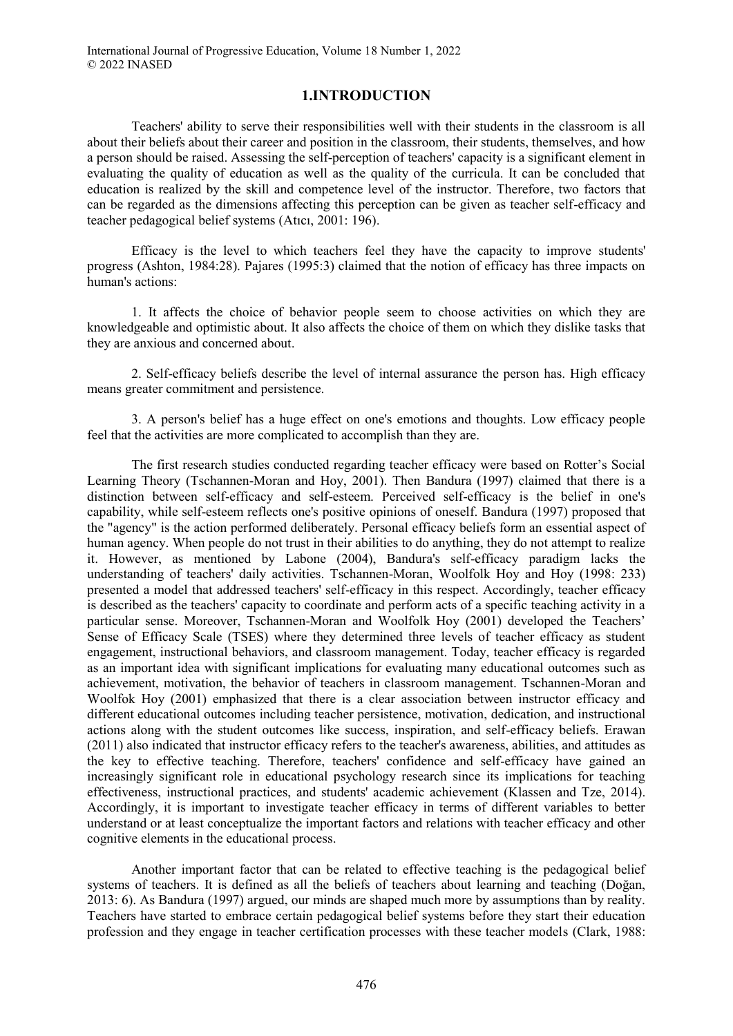## **1.INTRODUCTION**

Teachers' ability to serve their responsibilities well with their students in the classroom is all about their beliefs about their career and position in the classroom, their students, themselves, and how a person should be raised. Assessing the self-perception of teachers' capacity is a significant element in evaluating the quality of education as well as the quality of the curricula. It can be concluded that education is realized by the skill and competence level of the instructor. Therefore, two factors that can be regarded as the dimensions affecting this perception can be given as teacher self-efficacy and teacher pedagogical belief systems (Atıcı, 2001: 196).

Efficacy is the level to which teachers feel they have the capacity to improve students' progress (Ashton, 1984:28). Pajares (1995:3) claimed that the notion of efficacy has three impacts on human's actions:

1. It affects the choice of behavior people seem to choose activities on which they are knowledgeable and optimistic about. It also affects the choice of them on which they dislike tasks that they are anxious and concerned about.

2. Self-efficacy beliefs describe the level of internal assurance the person has. High efficacy means greater commitment and persistence.

3. A person's belief has a huge effect on one's emotions and thoughts. Low efficacy people feel that the activities are more complicated to accomplish than they are.

The first research studies conducted regarding teacher efficacy were based on Rotter's Social Learning Theory (Tschannen-Moran and Hoy, 2001). Then Bandura (1997) claimed that there is a distinction between self-efficacy and self-esteem. Perceived self-efficacy is the belief in one's capability, while self-esteem reflects one's positive opinions of oneself. Bandura (1997) proposed that the "agency" is the action performed deliberately. Personal efficacy beliefs form an essential aspect of human agency. When people do not trust in their abilities to do anything, they do not attempt to realize it. However, as mentioned by Labone (2004), Bandura's self-efficacy paradigm lacks the understanding of teachers' daily activities. Tschannen-Moran, Woolfolk Hoy and Hoy (1998: 233) presented a model that addressed teachers' self-efficacy in this respect. Accordingly, teacher efficacy is described as the teachers' capacity to coordinate and perform acts of a specific teaching activity in a particular sense. Moreover, Tschannen-Moran and Woolfolk Hoy (2001) developed the Teachers' Sense of Efficacy Scale (TSES) where they determined three levels of teacher efficacy as student engagement, instructional behaviors, and classroom management. Today, teacher efficacy is regarded as an important idea with significant implications for evaluating many educational outcomes such as achievement, motivation, the behavior of teachers in classroom management. Tschannen-Moran and Woolfok Hoy (2001) emphasized that there is a clear association between instructor efficacy and different educational outcomes including teacher persistence, motivation, dedication, and instructional actions along with the student outcomes like success, inspiration, and self-efficacy beliefs. Erawan (2011) also indicated that instructor efficacy refers to the teacher's awareness, abilities, and attitudes as the key to effective teaching. Therefore, teachers' confidence and self-efficacy have gained an increasingly significant role in educational psychology research since its implications for teaching effectiveness, instructional practices, and students' academic achievement (Klassen and Tze, 2014). Accordingly, it is important to investigate teacher efficacy in terms of different variables to better understand or at least conceptualize the important factors and relations with teacher efficacy and other cognitive elements in the educational process.

Another important factor that can be related to effective teaching is the pedagogical belief systems of teachers. It is defined as all the beliefs of teachers about learning and teaching (Doğan, 2013: 6). As Bandura (1997) argued, our minds are shaped much more by assumptions than by reality. Teachers have started to embrace certain pedagogical belief systems before they start their education profession and they engage in teacher certification processes with these teacher models (Clark, 1988: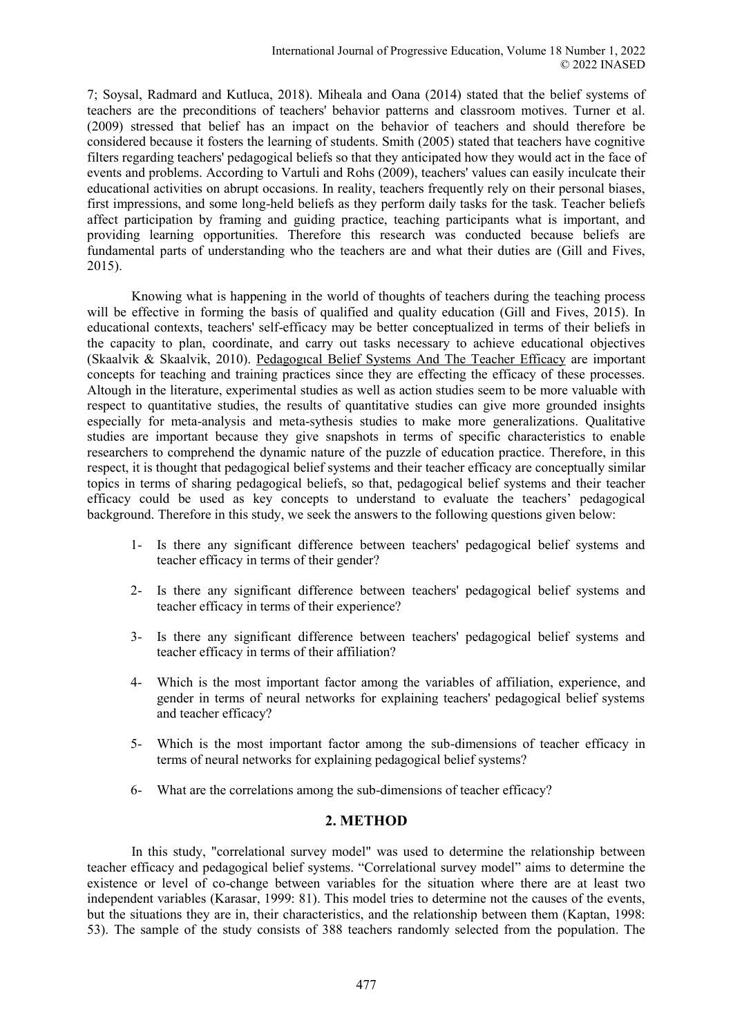7; Soysal, Radmard and Kutluca, 2018). Miheala and Oana (2014) stated that the belief systems of teachers are the preconditions of teachers' behavior patterns and classroom motives. Turner et al. (2009) stressed that belief has an impact on the behavior of teachers and should therefore be considered because it fosters the learning of students. Smith (2005) stated that teachers have cognitive filters regarding teachers' pedagogical beliefs so that they anticipated how they would act in the face of events and problems. According to Vartuli and Rohs (2009), teachers' values can easily inculcate their educational activities on abrupt occasions. In reality, teachers frequently rely on their personal biases, first impressions, and some long-held beliefs as they perform daily tasks for the task. Teacher beliefs affect participation by framing and guiding practice, teaching participants what is important, and providing learning opportunities. Therefore this research was conducted because beliefs are fundamental parts of understanding who the teachers are and what their duties are (Gill and Fives, 2015).

Knowing what is happening in the world of thoughts of teachers during the teaching process will be effective in forming the basis of qualified and quality education (Gill and Fives, 2015). In educational contexts, teachers' self-efficacy may be better conceptualized in terms of their beliefs in the capacity to plan, coordinate, and carry out tasks necessary to achieve educational objectives (Skaalvik & Skaalvik, 2010). Pedagogıcal Belief Systems And The Teacher Efficacy are important concepts for teaching and training practices since they are effecting the efficacy of these processes. Altough in the literature, experimental studies as well as action studies seem to be more valuable with respect to quantitative studies, the results of quantitative studies can give more grounded insights especially for meta-analysis and meta-sythesis studies to make more generalizations. Qualitative studies are important because they give snapshots in terms of specific characteristics to enable researchers to comprehend the dynamic nature of the puzzle of education practice. Therefore, in this respect, it is thought that pedagogical belief systems and their teacher efficacy are conceptually similar topics in terms of sharing pedagogical beliefs, so that, pedagogical belief systems and their teacher efficacy could be used as key concepts to understand to evaluate the teachers' pedagogical background. Therefore in this study, we seek the answers to the following questions given below:

- 1- Is there any significant difference between teachers' pedagogical belief systems and teacher efficacy in terms of their gender?
- 2- Is there any significant difference between teachers' pedagogical belief systems and teacher efficacy in terms of their experience?
- 3- Is there any significant difference between teachers' pedagogical belief systems and teacher efficacy in terms of their affiliation?
- 4- Which is the most important factor among the variables of affiliation, experience, and gender in terms of neural networks for explaining teachers' pedagogical belief systems and teacher efficacy?
- 5- Which is the most important factor among the sub-dimensions of teacher efficacy in terms of neural networks for explaining pedagogical belief systems?
- 6- What are the correlations among the sub-dimensions of teacher efficacy?

## **2. METHOD**

In this study, "correlational survey model" was used to determine the relationship between teacher efficacy and pedagogical belief systems. "Correlational survey model" aims to determine the existence or level of co-change between variables for the situation where there are at least two independent variables (Karasar, 1999: 81). This model tries to determine not the causes of the events, but the situations they are in, their characteristics, and the relationship between them (Kaptan, 1998: 53). The sample of the study consists of 388 teachers randomly selected from the population. The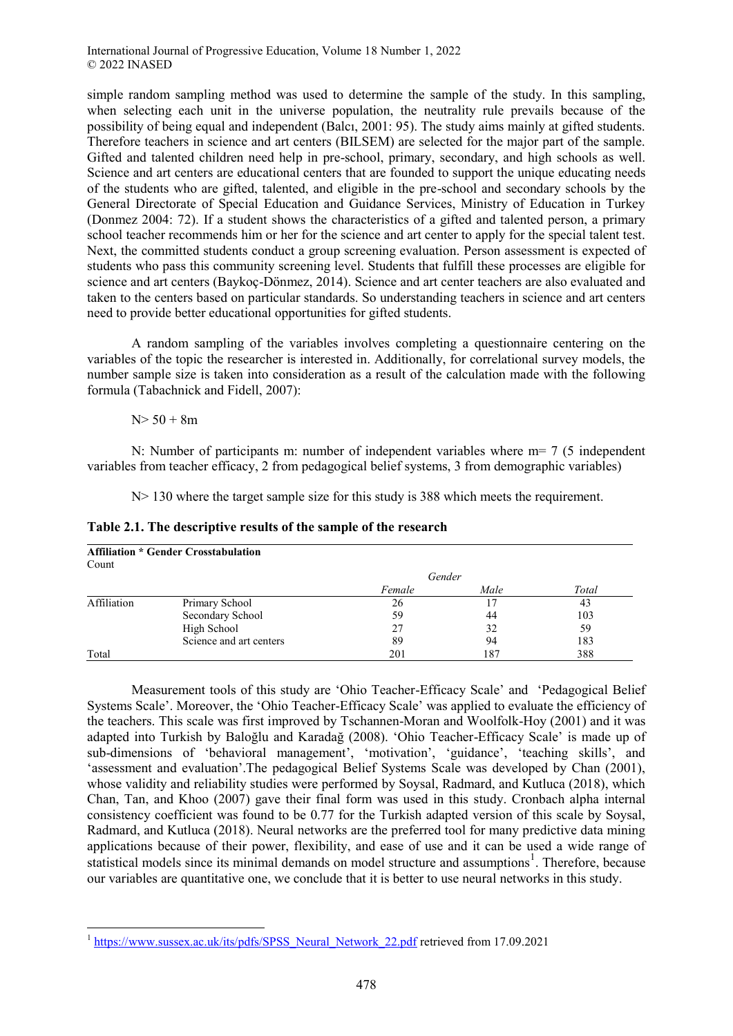simple random sampling method was used to determine the sample of the study. In this sampling, when selecting each unit in the universe population, the neutrality rule prevails because of the possibility of being equal and independent (Balcı, 2001: 95). The study aims mainly at gifted students. Therefore teachers in science and art centers (BILSEM) are selected for the major part of the sample. Gifted and talented children need help in pre-school, primary, secondary, and high schools as well. Science and art centers are educational centers that are founded to support the unique educating needs of the students who are gifted, talented, and eligible in the pre-school and secondary schools by the General Directorate of Special Education and Guidance Services, Ministry of Education in Turkey (Donmez 2004: 72). If a student shows the characteristics of a gifted and talented person, a primary school teacher recommends him or her for the science and art center to apply for the special talent test. Next, the committed students conduct a group screening evaluation. Person assessment is expected of students who pass this community screening level. Students that fulfill these processes are eligible for science and art centers (Baykoç-Dönmez, 2014). Science and art center teachers are also evaluated and taken to the centers based on particular standards. So understanding teachers in science and art centers need to provide better educational opportunities for gifted students.

A random sampling of the variables involves completing a questionnaire centering on the variables of the topic the researcher is interested in. Additionally, for correlational survey models, the number sample size is taken into consideration as a result of the calculation made with the following formula (Tabachnick and Fidell, 2007):

 $N > 50 + 8m$ 

N: Number of participants m: number of independent variables where m= 7 (5 independent variables from teacher efficacy, 2 from pedagogical belief systems, 3 from demographic variables)

N > 130 where the target sample size for this study is 388 which meets the requirement.

| Table 2.1. The descriptive results of the sample of the research |
|------------------------------------------------------------------|
|                                                                  |

| Count       | <b>Affiliation * Gender Crosstabulation</b> |        |      |       |  |  |  |  |
|-------------|---------------------------------------------|--------|------|-------|--|--|--|--|
|             |                                             | Gender |      |       |  |  |  |  |
|             |                                             | Female | Male | Total |  |  |  |  |
| Affiliation | Primary School                              | 26     |      | 43    |  |  |  |  |
|             | Secondary School                            | 59     | 44   | 103   |  |  |  |  |
|             | High School                                 | 27     | 32   | 59    |  |  |  |  |
|             | Science and art centers                     | 89     | 94   | 183   |  |  |  |  |
| Total       |                                             | 201    | 187  | 388   |  |  |  |  |

Measurement tools of this study are 'Ohio Teacher-Efficacy Scale' and 'Pedagogical Belief Systems Scale'. Moreover, the 'Ohio Teacher-Efficacy Scale' was applied to evaluate the efficiency of the teachers. This scale was first improved by Tschannen-Moran and Woolfolk-Hoy (2001) and it was adapted into Turkish by Baloğlu and Karadağ (2008). 'Ohio Teacher-Efficacy Scale' is made up of sub-dimensions of 'behavioral management', 'motivation', 'guidance', 'teaching skills', and 'assessment and evaluation'.The pedagogical Belief Systems Scale was developed by Chan (2001), whose validity and reliability studies were performed by Soysal, Radmard, and Kutluca (2018), which Chan, Tan, and Khoo (2007) gave their final form was used in this study. Cronbach alpha internal consistency coefficient was found to be 0.77 for the Turkish adapted version of this scale by Soysal, Radmard, and Kutluca (2018). Neural networks are the preferred tool for many predictive data mining applications because of their power, flexibility, and ease of use and it can be used a wide range of statistical models since its minimal demands on model structure and assumptions<sup>1</sup>. Therefore, because our variables are quantitative one, we conclude that it is better to use neural networks in this study.

**<sup>.</sup>** <sup>1</sup> [https://www.sussex.ac.uk/its/pdfs/SPSS\\_Neural\\_Network\\_22.pdf](https://www.sussex.ac.uk/its/pdfs/SPSS_Neural_Network_22.pdf) retrieved from 17.09.2021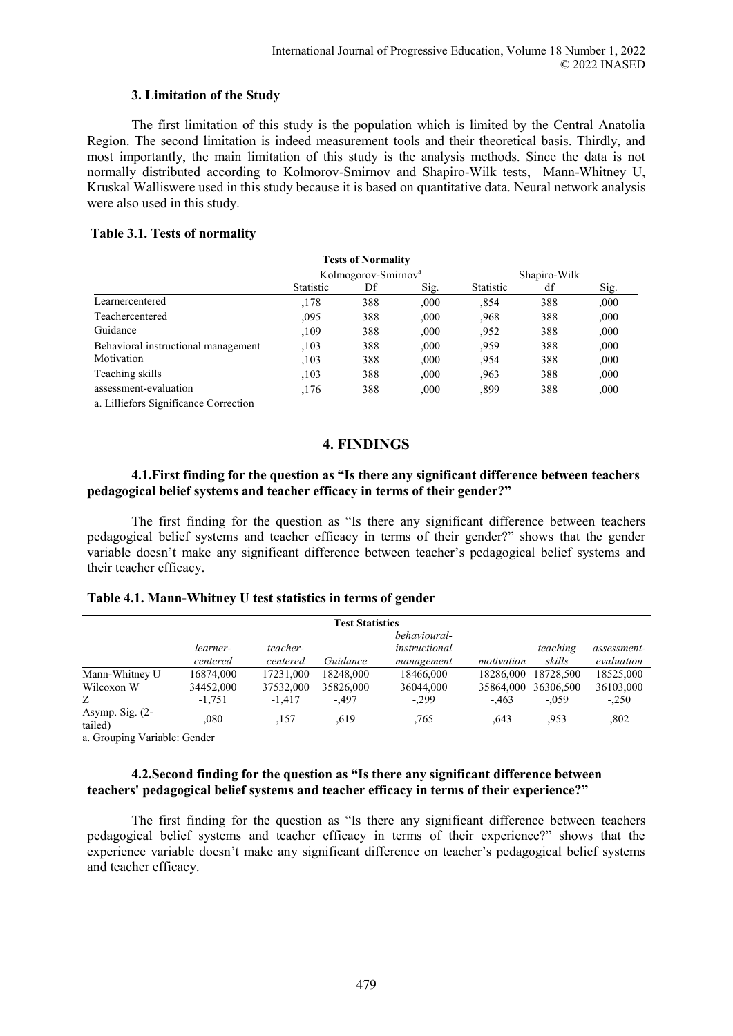## **3. Limitation of the Study**

The first limitation of this study is the population which is limited by the Central Anatolia Region. The second limitation is indeed measurement tools and their theoretical basis. Thirdly, and most importantly, the main limitation of this study is the analysis methods. Since the data is not normally distributed according to Kolmorov-Smirnov and Shapiro-Wilk tests, Mann-Whitney U, Kruskal Walliswere used in this study because it is based on quantitative data. Neural network analysis were also used in this study.

## **Table 3.1. Tests of normality**

|                                       |                  | <b>Tests of Normality</b>       |      |                  |              |       |
|---------------------------------------|------------------|---------------------------------|------|------------------|--------------|-------|
|                                       |                  | Kolmogorov-Smirnov <sup>a</sup> |      |                  | Shapiro-Wilk |       |
|                                       | <b>Statistic</b> | Df                              | Sig. | <b>Statistic</b> | df           | Sig.  |
| Learnercentered                       | .178             | 388                             | ,000 | .854             | 388          | .000. |
| Teachercentered                       | .095             | 388                             | ,000 | .968             | 388          | ,000  |
| Guidance                              | ,109             | 388                             | ,000 | .952             | 388          | ,000  |
| Behavioral instructional management   | .103             | 388                             | ,000 | .959             | 388          | ,000  |
| Motivation                            | .103             | 388                             | ,000 | .954             | 388          | ,000  |
| Teaching skills                       | .103             | 388                             | ,000 | .963             | 388          | .000  |
| assessment-evaluation                 | ,176             | 388                             | ,000 | .899             | 388          | ,000  |
| a. Lilliefors Significance Correction |                  |                                 |      |                  |              |       |

## **4. FINDINGS**

#### **4.1.First finding for the question as "Is there any significant difference between teachers pedagogical belief systems and teacher efficacy in terms of their gender?"**

The first finding for the question as "Is there any significant difference between teachers pedagogical belief systems and teacher efficacy in terms of their gender?" shows that the gender variable doesn't make any significant difference between teacher's pedagogical belief systems and their teacher efficacy.

## **Table 4.1. Mann-Whitney U test statistics in terms of gender**

|                              | <b>Test Statistics</b> |           |           |               |            |           |             |
|------------------------------|------------------------|-----------|-----------|---------------|------------|-----------|-------------|
|                              |                        |           |           | behavioural-  |            |           |             |
|                              | learner-               | teacher-  |           | instructional |            | teaching  | assessment- |
|                              | centered               | centered  | Guidance  | management    | motivation | skills    | evaluation  |
| Mann-Whitney U               | 16874.000              | 17231,000 | 18248.000 | 18466.000     | 18286.000  | 18728.500 | 18525,000   |
| Wilcoxon W                   | 34452,000              | 37532,000 | 35826,000 | 36044,000     | 35864,000  | 36306,500 | 36103,000   |
| Ζ                            | $-1.751$               | $-1.417$  | $-497$    | $-.299$       | $-463$     | $-.059$   | $-.250$     |
| Asymp. Sig. $(2-$<br>tailed) | .080                   | ,157      | .619      | .765          | .643       | .953      | ,802        |
| a. Grouping Variable: Gender |                        |           |           |               |            |           |             |

## **4.2.Second finding for the question as "Is there any significant difference between teachers' pedagogical belief systems and teacher efficacy in terms of their experience?"**

The first finding for the question as "Is there any significant difference between teachers pedagogical belief systems and teacher efficacy in terms of their experience?" shows that the experience variable doesn't make any significant difference on teacher's pedagogical belief systems and teacher efficacy.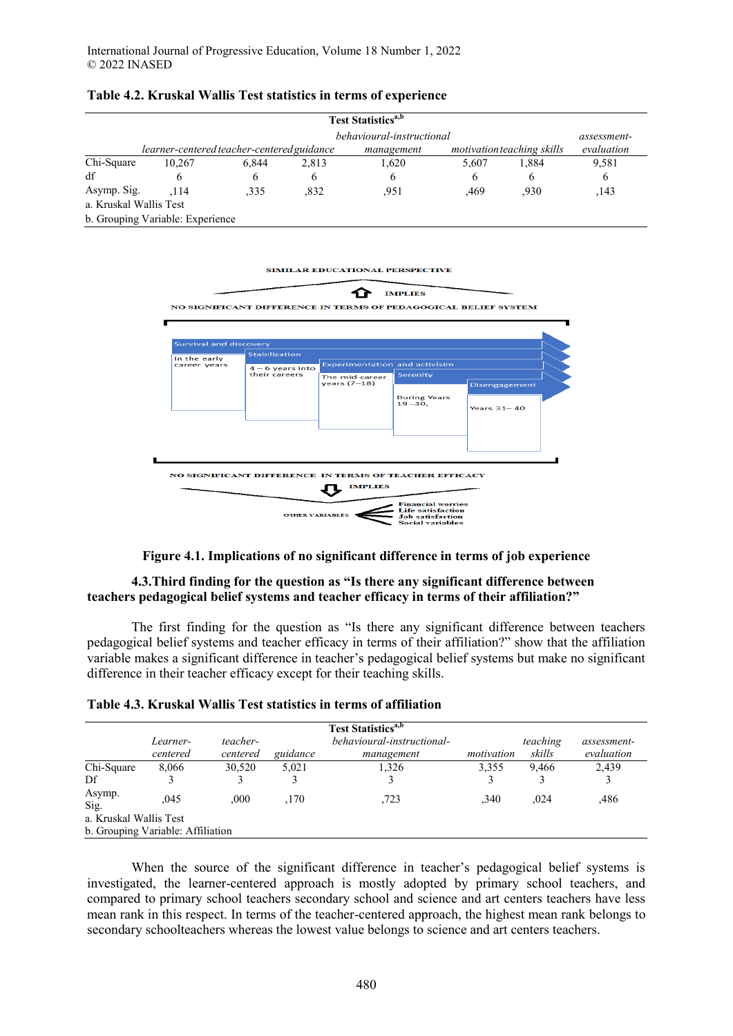|  |  | Table 4.2. Kruskal Wallis Test statistics in terms of experience |
|--|--|------------------------------------------------------------------|
|--|--|------------------------------------------------------------------|

|                        | Test Statistics <sup>a,b</sup>             |       |       |                           |       |                            |             |
|------------------------|--------------------------------------------|-------|-------|---------------------------|-------|----------------------------|-------------|
|                        |                                            |       |       | behavioural-instructional |       |                            | assessment- |
|                        | learner-centered teacher-centered guidance |       |       | management                |       | motivation teaching skills | evaluation  |
| Chi-Square             | 10.267                                     | 6.844 | 2,813 | 1,620                     | 5,607 | 1.884                      | 9,581       |
| df                     | <sub>(</sub>                               | 6     | b     | <sub>(</sub>              | 6     | 6                          | 6           |
| Asymp. Sig.            | .114                                       | .335  | .832  | .951                      | .469  | .930                       | .143        |
| a. Kruskal Wallis Test |                                            |       |       |                           |       |                            |             |
|                        | b. Grouping Variable: Experience           |       |       |                           |       |                            |             |





#### **4.3.Third finding for the question as "Is there any significant difference between teachers pedagogical belief systems and teacher efficacy in terms of their affiliation?"**

The first finding for the question as "Is there any significant difference between teachers pedagogical belief systems and teacher efficacy in terms of their affiliation?" show that the affiliation variable makes a significant difference in teacher's pedagogical belief systems but make no significant difference in their teacher efficacy except for their teaching skills.

|                        | Learner-<br>centered              | teacher-<br>centered | guidance | Test Statistics <sup>a,b</sup><br>behavioural-instructional-<br>management | motivation | teaching<br>skills | assessment-<br>evaluation |
|------------------------|-----------------------------------|----------------------|----------|----------------------------------------------------------------------------|------------|--------------------|---------------------------|
| Chi-Square             | 8,066                             | 30,520               | 5,021    | 1,326                                                                      | 3,355      | 9.466              | 2,439                     |
| Df                     |                                   |                      |          |                                                                            |            |                    |                           |
| Asymp.<br>Sig.         | .045                              | .000                 | ,170     | ,723                                                                       | .340       | .024               | .486                      |
| a. Kruskal Wallis Test |                                   |                      |          |                                                                            |            |                    |                           |
|                        | b. Grouping Variable: Affiliation |                      |          |                                                                            |            |                    |                           |

| Table 4.3. Kruskal Wallis Test statistics in terms of affiliation |  |  |
|-------------------------------------------------------------------|--|--|
|-------------------------------------------------------------------|--|--|

When the source of the significant difference in teacher's pedagogical belief systems is investigated, the learner-centered approach is mostly adopted by primary school teachers, and compared to primary school teachers secondary school and science and art centers teachers have less mean rank in this respect. In terms of the teacher-centered approach, the highest mean rank belongs to secondary schoolteachers whereas the lowest value belongs to science and art centers teachers.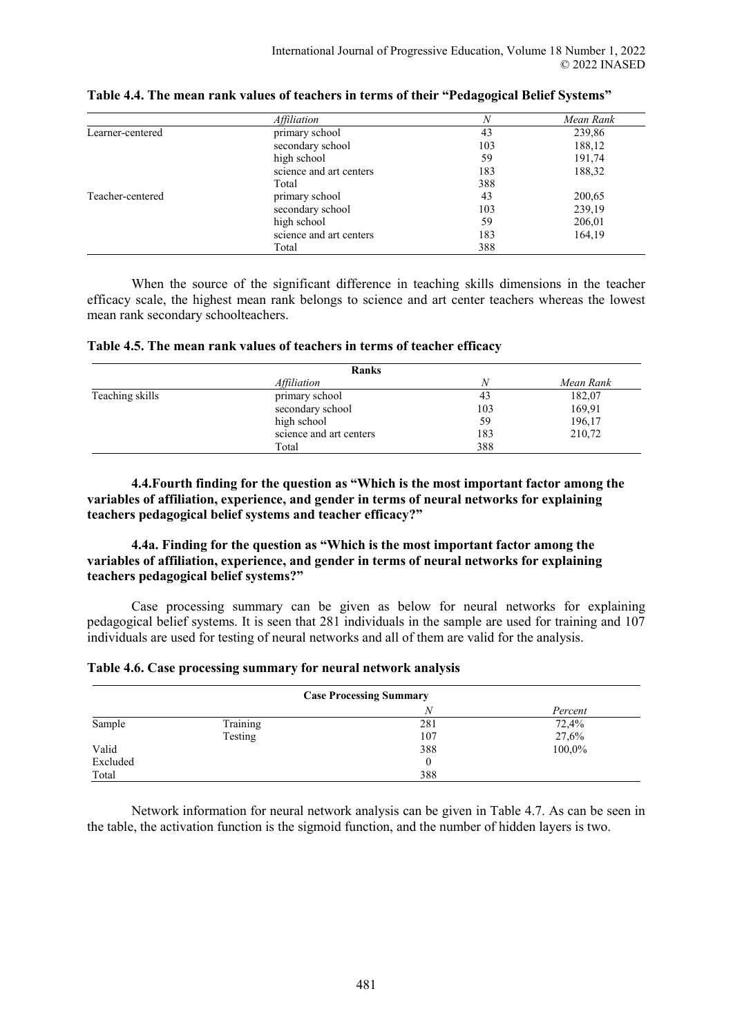|                  | <i>Affiliation</i>      | N   | Mean Rank |
|------------------|-------------------------|-----|-----------|
| Learner-centered | primary school          | 43  | 239,86    |
|                  | secondary school        | 103 | 188,12    |
|                  | high school             | 59  | 191,74    |
|                  | science and art centers | 183 | 188,32    |
|                  | Total                   | 388 |           |
| Teacher-centered | primary school          | 43  | 200,65    |
|                  | secondary school        | 103 | 239,19    |
|                  | high school             | 59  | 206,01    |
|                  | science and art centers | 183 | 164,19    |
|                  | Total                   | 388 |           |

|  |  |  |  | Table 4.4. The mean rank values of teachers in terms of their "Pedagogical Belief Systems" |
|--|--|--|--|--------------------------------------------------------------------------------------------|
|--|--|--|--|--------------------------------------------------------------------------------------------|

When the source of the significant difference in teaching skills dimensions in the teacher efficacy scale, the highest mean rank belongs to science and art center teachers whereas the lowest mean rank secondary schoolteachers.

| Table 4.5. The mean rank values of teachers in terms of teacher efficacy |  |  |  |  |
|--------------------------------------------------------------------------|--|--|--|--|
|--------------------------------------------------------------------------|--|--|--|--|

|                 | <b>Ranks</b>            |     |           |
|-----------------|-------------------------|-----|-----------|
|                 | Affiliation             | N   | Mean Rank |
| Teaching skills | primary school          | 43  | 182,07    |
|                 | secondary school        | 103 | 169,91    |
|                 | high school             | 59  | 196,17    |
|                 | science and art centers | 183 | 210,72    |
|                 | Total                   | 388 |           |

**4.4.Fourth finding for the question as "Which is the most important factor among the variables of affiliation, experience, and gender in terms of neural networks for explaining teachers pedagogical belief systems and teacher efficacy?"** 

**4.4a. Finding for the question as "Which is the most important factor among the variables of affiliation, experience, and gender in terms of neural networks for explaining teachers pedagogical belief systems?"** 

Case processing summary can be given as below for neural networks for explaining pedagogical belief systems. It is seen that 281 individuals in the sample are used for training and 107 individuals are used for testing of neural networks and all of them are valid for the analysis.

|  | Table 4.6. Case processing summary for neural network analysis |  |  |  |
|--|----------------------------------------------------------------|--|--|--|
|  |                                                                |  |  |  |

| <b>Case Processing Summary</b> |          |     |         |  |
|--------------------------------|----------|-----|---------|--|
|                                |          | N   | Percent |  |
| Sample                         | Training | 281 | 72,4%   |  |
|                                | Testing  | 107 | 27,6%   |  |
| Valid                          |          | 388 | 100,0%  |  |
| Excluded                       |          | 0   |         |  |
| Total                          |          | 388 |         |  |

Network information for neural network analysis can be given in Table 4.7. As can be seen in the table, the activation function is the sigmoid function, and the number of hidden layers is two.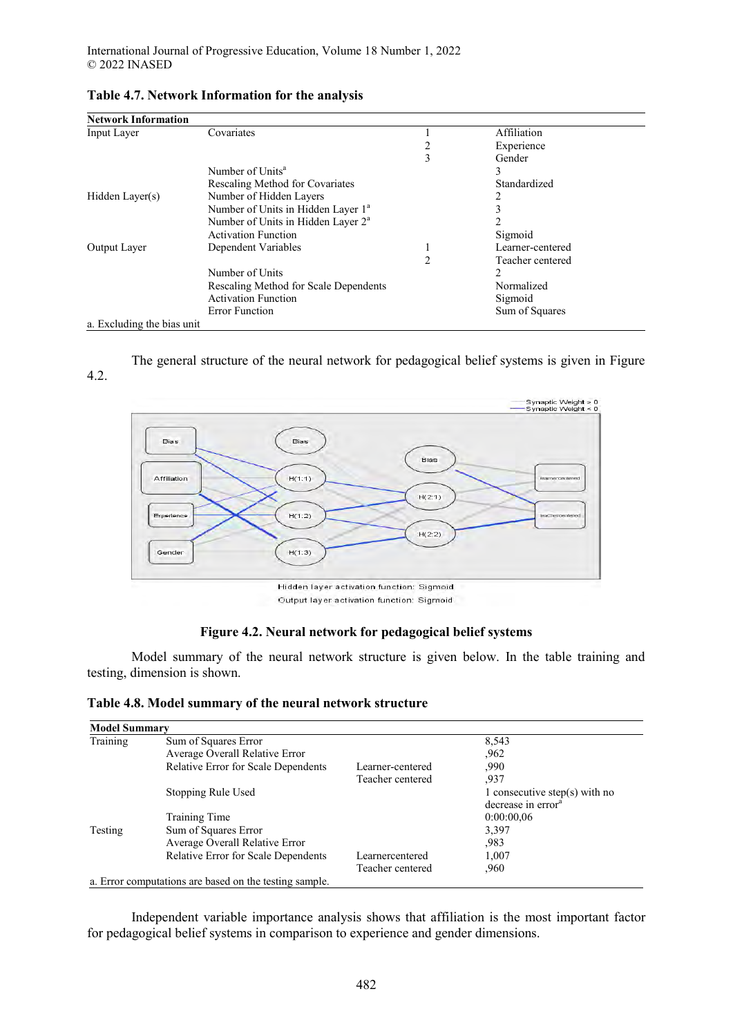| <b>Network Information</b> |                                                |   |                  |  |
|----------------------------|------------------------------------------------|---|------------------|--|
| Input Layer                | Covariates                                     |   | Affiliation      |  |
|                            |                                                |   | Experience       |  |
|                            |                                                | 3 | Gender           |  |
|                            | Number of Units <sup>a</sup>                   |   |                  |  |
|                            | Rescaling Method for Covariates                |   | Standardized     |  |
| Hidden Layer(s)            | Number of Hidden Layers                        |   |                  |  |
|                            | Number of Units in Hidden Layer 1 <sup>a</sup> |   |                  |  |
|                            | Number of Units in Hidden Layer 2 <sup>a</sup> |   |                  |  |
|                            | <b>Activation Function</b>                     |   | Sigmoid          |  |
| Output Layer               | Dependent Variables                            |   | Learner-centered |  |
|                            |                                                | 2 | Teacher centered |  |
|                            | Number of Units                                |   | 2                |  |
|                            | Rescaling Method for Scale Dependents          |   | Normalized       |  |
|                            | <b>Activation Function</b>                     |   | Sigmoid          |  |
|                            | <b>Error Function</b>                          |   | Sum of Squares   |  |
| a. Excluding the bias unit |                                                |   |                  |  |

## **Table 4.7. Network Information for the analysis**

The general structure of the neural network for pedagogical belief systems is given in Figure



# **Figure 4.2. Neural network for pedagogical belief systems**

Model summary of the neural network structure is given below. In the table training and testing, dimension is shown.

**Table 4.8. Model summary of the neural network structure** 

| <b>Model Summary</b> |                                                        |                  |                                |
|----------------------|--------------------------------------------------------|------------------|--------------------------------|
| Training             | Sum of Squares Error                                   |                  | 8,543                          |
|                      | Average Overall Relative Error                         |                  | .962                           |
|                      | Relative Error for Scale Dependents                    | Learner-centered | .990                           |
|                      |                                                        | Teacher centered | .937                           |
|                      | Stopping Rule Used                                     |                  | 1 consecutive step(s) with no  |
|                      |                                                        |                  | decrease in error <sup>a</sup> |
|                      | Training Time                                          |                  | 0:00:00,06                     |
| Testing              | Sum of Squares Error                                   |                  | 3,397                          |
|                      | Average Overall Relative Error                         |                  | .983                           |
|                      | <b>Relative Error for Scale Dependents</b>             | Learnercentered  | 1,007                          |
|                      |                                                        | Teacher centered | ,960                           |
|                      | a. Error computations are based on the testing sample. |                  |                                |

Independent variable importance analysis shows that affiliation is the most important factor for pedagogical belief systems in comparison to experience and gender dimensions.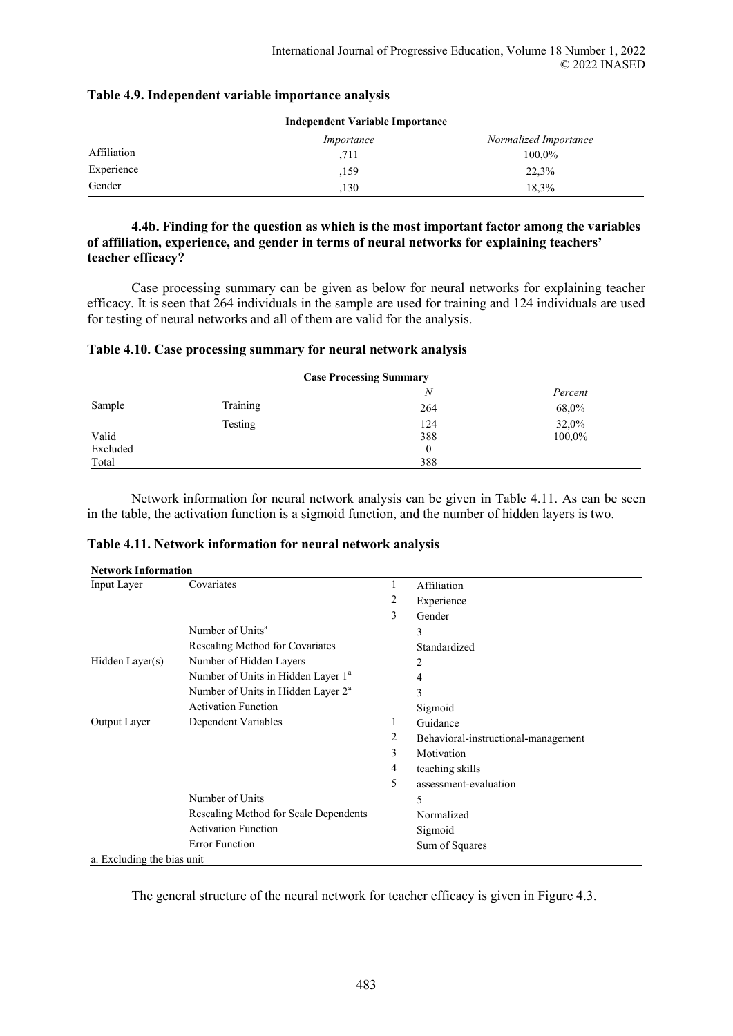|             | Independent Variable Importance |                       |
|-------------|---------------------------------|-----------------------|
|             | Importance                      | Normalized Importance |
| Affiliation | .711                            | 100,0%                |
| Experience  | ,159                            | 22,3%                 |
| Gender      | .130                            | 18.3%                 |

#### **Table 4.9. Independent variable importance analysis**

#### **4.4b. Finding for the question as which is the most important factor among the variables of affiliation, experience, and gender in terms of neural networks for explaining teachers' teacher efficacy?**

Case processing summary can be given as below for neural networks for explaining teacher efficacy. It is seen that 264 individuals in the sample are used for training and 124 individuals are used for testing of neural networks and all of them are valid for the analysis.

| Table 4.10. Case processing summary for neural network analysis |  |  |  |  |
|-----------------------------------------------------------------|--|--|--|--|
|-----------------------------------------------------------------|--|--|--|--|

| <b>Case Processing Summary</b> |          |          |         |  |
|--------------------------------|----------|----------|---------|--|
|                                |          | N        | Percent |  |
| Sample                         | Training | 264      | 68,0%   |  |
|                                | Testing  | 124      | 32,0%   |  |
| Valid                          |          | 388      | 100,0%  |  |
| Excluded                       |          | $\theta$ |         |  |
| Total                          |          | 388      |         |  |

Network information for neural network analysis can be given in Table 4.11. As can be seen in the table, the activation function is a sigmoid function, and the number of hidden layers is two.

| Table 4.11. Network information for neural network analysis |  |
|-------------------------------------------------------------|--|
|-------------------------------------------------------------|--|

| <b>Network Information</b> |                                                |   |                                     |
|----------------------------|------------------------------------------------|---|-------------------------------------|
| Input Layer                | Covariates                                     |   | Affiliation                         |
|                            |                                                | 2 | Experience                          |
|                            |                                                | 3 | Gender                              |
|                            | Number of Units <sup>a</sup>                   |   | 3                                   |
|                            | Rescaling Method for Covariates                |   | Standardized                        |
| Hidden Layer(s)            | Number of Hidden Layers                        |   | 2                                   |
|                            | Number of Units in Hidden Layer 1 <sup>a</sup> |   | 4                                   |
|                            | Number of Units in Hidden Layer 2 <sup>a</sup> |   | 3                                   |
|                            | <b>Activation Function</b>                     |   | Sigmoid                             |
| Output Layer               | Dependent Variables                            | 1 | Guidance                            |
|                            |                                                | 2 | Behavioral-instructional-management |
|                            |                                                | 3 | Motivation                          |
|                            |                                                | 4 | teaching skills                     |
|                            |                                                | 5 | assessment-evaluation               |
|                            | Number of Units                                |   | 5                                   |
|                            | Rescaling Method for Scale Dependents          |   | Normalized                          |
|                            | <b>Activation Function</b>                     |   | Sigmoid                             |
|                            | <b>Error Function</b>                          |   | Sum of Squares                      |
| a. Excluding the bias unit |                                                |   |                                     |

The general structure of the neural network for teacher efficacy is given in Figure 4.3.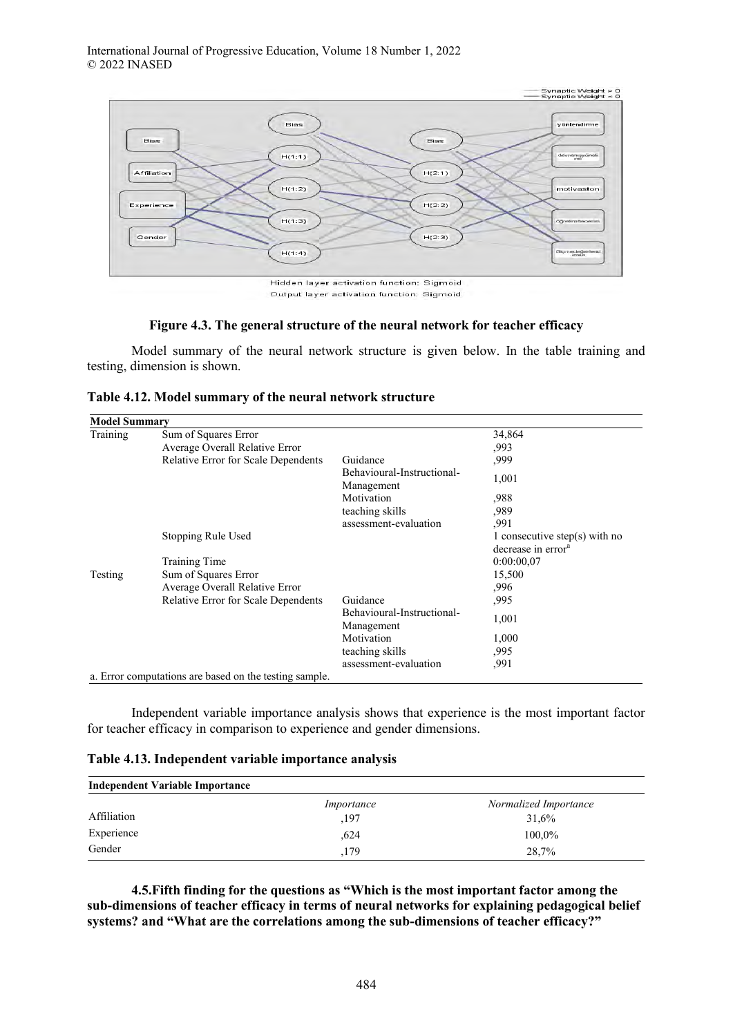

Output layer activation function: Sigmoid

#### **Figure 4.3. The general structure of the neural network for teacher efficacy**

Model summary of the neural network structure is given below. In the table training and testing, dimension is shown.

|  | Table 4.12. Model summary of the neural network structure |  |
|--|-----------------------------------------------------------|--|
|--|-----------------------------------------------------------|--|

| <b>Model Summary</b> |                                                        |                                          |                                |
|----------------------|--------------------------------------------------------|------------------------------------------|--------------------------------|
| Training             | Sum of Squares Error                                   |                                          | 34,864                         |
|                      | Average Overall Relative Error                         |                                          | ,993                           |
|                      | <b>Relative Error for Scale Dependents</b>             | Guidance                                 | ,999                           |
|                      |                                                        | Behavioural-Instructional-<br>Management | 1,001                          |
|                      |                                                        | Motivation                               | ,988                           |
|                      |                                                        | teaching skills                          | ,989                           |
|                      |                                                        | assessment-evaluation                    | ,991                           |
|                      | Stopping Rule Used                                     |                                          | 1 consecutive step(s) with no  |
|                      |                                                        |                                          | decrease in error <sup>a</sup> |
|                      | <b>Training Time</b>                                   |                                          | 0:00:00.07                     |
| Testing              | Sum of Squares Error                                   |                                          | 15,500                         |
|                      | Average Overall Relative Error                         |                                          | .996                           |
|                      | <b>Relative Error for Scale Dependents</b>             | Guidance                                 | ,995                           |
|                      |                                                        | Behavioural-Instructional-<br>Management | 1,001                          |
|                      |                                                        | Motivation                               | 1,000                          |
|                      |                                                        | teaching skills                          | ,995                           |
|                      |                                                        | assessment-evaluation                    | ,991                           |
|                      | a. Error computations are based on the testing sample. |                                          |                                |

Independent variable importance analysis shows that experience is the most important factor for teacher efficacy in comparison to experience and gender dimensions.

| Table 4.13. Independent variable importance analysis |  |  |
|------------------------------------------------------|--|--|
|                                                      |  |  |

| Independent Variable Importance |            |                       |  |  |  |
|---------------------------------|------------|-----------------------|--|--|--|
|                                 | Importance | Normalized Importance |  |  |  |
| Affiliation                     | ,197       | 31,6%                 |  |  |  |
| Experience                      | .624       | 100,0%                |  |  |  |
| Gender                          | .179       | 28,7%                 |  |  |  |

**4.5.Fifth finding for the questions as "Which is the most important factor among the sub-dimensions of teacher efficacy in terms of neural networks for explaining pedagogical belief systems? and "What are the correlations among the sub-dimensions of teacher efficacy?"**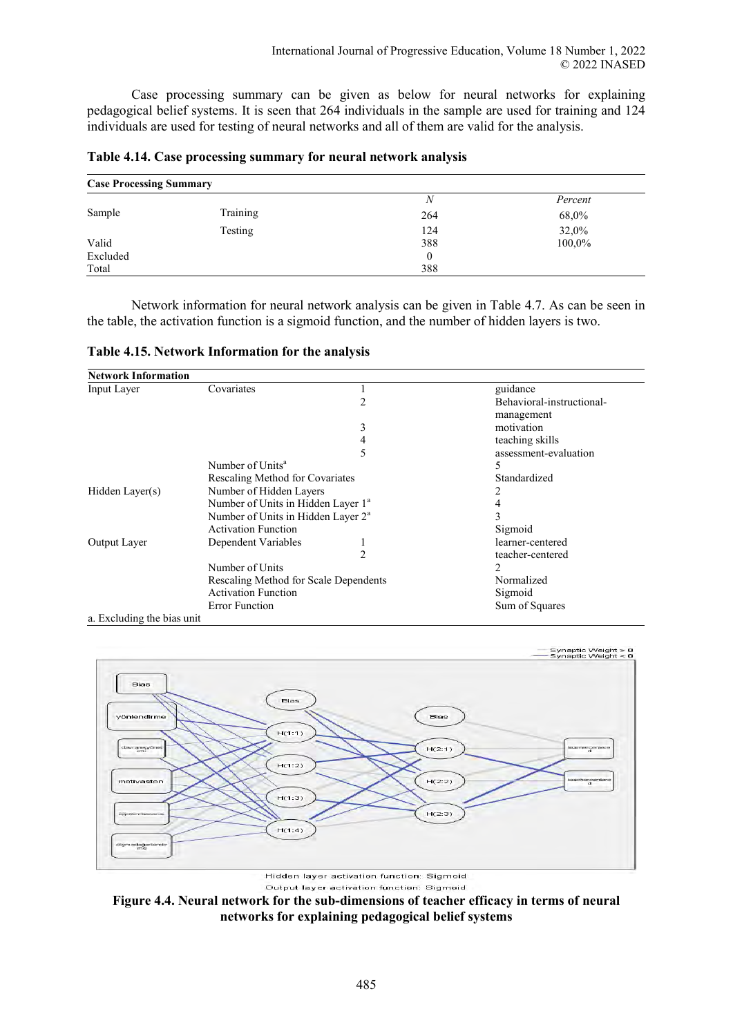Case processing summary can be given as below for neural networks for explaining pedagogical belief systems. It is seen that 264 individuals in the sample are used for training and 124 individuals are used for testing of neural networks and all of them are valid for the analysis.

| <b>Case Processing Summary</b> |          |     |         |  |  |
|--------------------------------|----------|-----|---------|--|--|
|                                |          | N   | Percent |  |  |
| Sample                         | Training | 264 | 68,0%   |  |  |
|                                | Testing  | 124 | 32,0%   |  |  |
| Valid                          |          | 388 | 100,0%  |  |  |
| Excluded                       |          | 0   |         |  |  |
| Total                          |          | 388 |         |  |  |

**Table 4.14. Case processing summary for neural network analysis** 

Network information for neural network analysis can be given in Table 4.7. As can be seen in the table, the activation function is a sigmoid function, and the number of hidden layers is two.

**Table 4.15. Network Information for the analysis** 

| <b>Network Information</b> |                                                |                |                           |
|----------------------------|------------------------------------------------|----------------|---------------------------|
| Input Layer                | Covariates                                     |                | guidance                  |
|                            |                                                | 2              | Behavioral-instructional- |
|                            |                                                |                | management                |
|                            |                                                | 3              | motivation                |
|                            |                                                | 4              | teaching skills           |
|                            |                                                | 5              | assessment-evaluation     |
|                            | Number of Units <sup>a</sup>                   |                | 5                         |
|                            | Rescaling Method for Covariates                |                | Standardized              |
| Hidden Layer(s)            | Number of Hidden Layers                        |                |                           |
|                            | Number of Units in Hidden Layer 1 <sup>a</sup> |                |                           |
|                            | Number of Units in Hidden Layer 2 <sup>a</sup> |                |                           |
|                            | <b>Activation Function</b>                     |                | Sigmoid                   |
| Output Layer               | Dependent Variables                            |                | learner-centered          |
|                            |                                                | $\mathfrak{D}$ | teacher-centered          |
|                            | Number of Units                                |                | 2                         |
|                            | Rescaling Method for Scale Dependents          |                | Normalized                |
|                            | <b>Activation Function</b>                     |                | Sigmoid                   |
|                            | <b>Error Function</b>                          |                | Sum of Squares            |
| a. Excluding the bias unit |                                                |                |                           |



Output layer activation function: Sigmoid

**Figure 4.4. Neural network for the sub-dimensions of teacher efficacy in terms of neural networks for explaining pedagogical belief systems**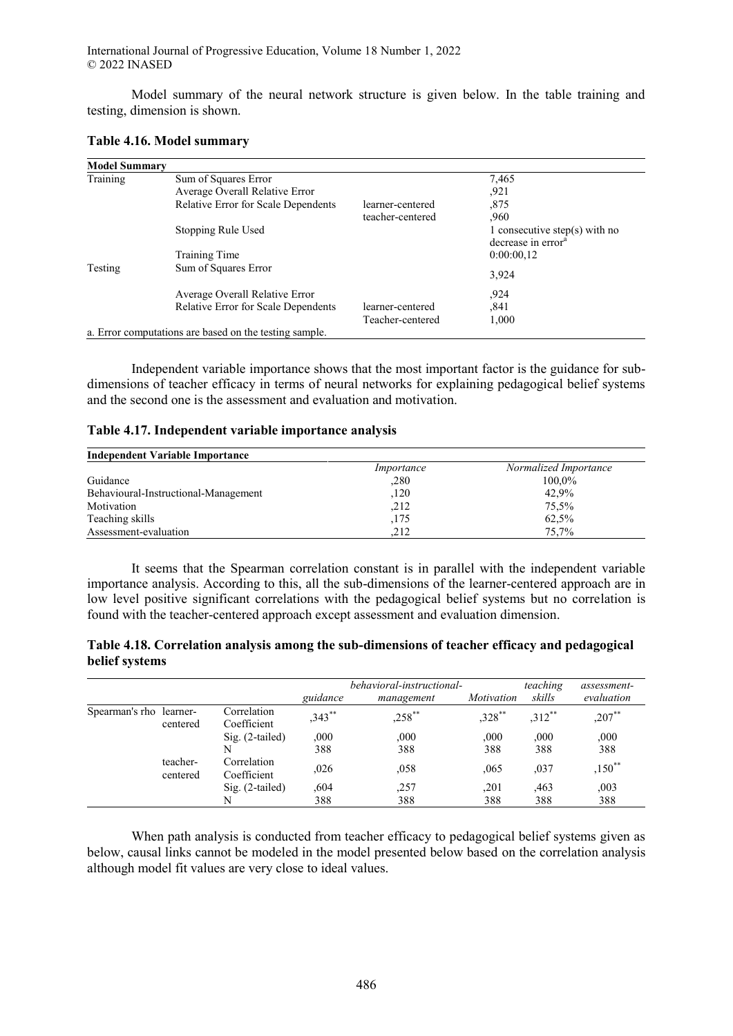Model summary of the neural network structure is given below. In the table training and testing, dimension is shown.

| Table 4.16. Model summary |  |
|---------------------------|--|
|---------------------------|--|

| <b>Model Summary</b> |                                                        |                  |                                |
|----------------------|--------------------------------------------------------|------------------|--------------------------------|
| Training             | Sum of Squares Error                                   |                  | 7,465                          |
|                      | Average Overall Relative Error                         |                  | ,921                           |
|                      | Relative Error for Scale Dependents                    | learner-centered | ,875                           |
|                      |                                                        | teacher-centered | .960                           |
|                      | Stopping Rule Used                                     |                  | 1 consecutive step(s) with no  |
|                      |                                                        |                  | decrease in error <sup>a</sup> |
|                      | Training Time<br>Sum of Squares Error                  |                  | 0:00:00,12                     |
| Testing              |                                                        |                  | 3,924                          |
|                      |                                                        |                  |                                |
|                      | Average Overall Relative Error                         |                  | ,924                           |
|                      | <b>Relative Error for Scale Dependents</b>             | learner-centered | ,841                           |
|                      |                                                        | Teacher-centered | 1,000                          |
|                      | a. Error computations are based on the testing sample. |                  |                                |

Independent variable importance shows that the most important factor is the guidance for subdimensions of teacher efficacy in terms of neural networks for explaining pedagogical belief systems and the second one is the assessment and evaluation and motivation.

## **Table 4.17. Independent variable importance analysis**

| <b>Independent Variable Importance</b> |            |                       |  |  |  |  |
|----------------------------------------|------------|-----------------------|--|--|--|--|
|                                        | Importance | Normalized Importance |  |  |  |  |
| Guidance                               | .280       | 100.0%                |  |  |  |  |
| Behavioural-Instructional-Management   | 120        | 42.9%                 |  |  |  |  |
| Motivation                             | .212       | 75,5%                 |  |  |  |  |
| Teaching skills                        | ,175       | 62,5%                 |  |  |  |  |
| Assessment-evaluation                  | 212        | 75.7%                 |  |  |  |  |

It seems that the Spearman correlation constant is in parallel with the independent variable importance analysis. According to this, all the sub-dimensions of the learner-centered approach are in low level positive significant correlations with the pedagogical belief systems but no correlation is found with the teacher-centered approach except assessment and evaluation dimension.

| Table 4.18. Correlation analysis among the sub-dimensions of teacher efficacy and pedagogical |  |  |
|-----------------------------------------------------------------------------------------------|--|--|
| belief systems                                                                                |  |  |

|                         |                      |                            | guidance    | behavioral-instructional-<br>management | Motivation  | teaching<br>skills | assessment-<br>evaluation |
|-------------------------|----------------------|----------------------------|-------------|-----------------------------------------|-------------|--------------------|---------------------------|
| Spearman's rho learner- | centered             | Correlation<br>Coefficient | $,343$ **   | $,258$ **                               | $,328$ **   | $,312$ **          | $,207$ **                 |
|                         |                      | $Sig. (2-tailed)$<br>N     | 000,<br>388 | ,000<br>388                             | ,000<br>388 | ,000<br>388        | ,000<br>388               |
|                         | teacher-<br>centered | Correlation<br>Coefficient | .026        | ,058                                    | ,065        | ,037               | $,150^{**}$               |
|                         |                      | $Sig. (2-tailed)$<br>N     | ,604<br>388 | ,257<br>388                             | ,201<br>388 | ,463<br>388        | ,003<br>388               |

When path analysis is conducted from teacher efficacy to pedagogical belief systems given as below, causal links cannot be modeled in the model presented below based on the correlation analysis although model fit values are very close to ideal values.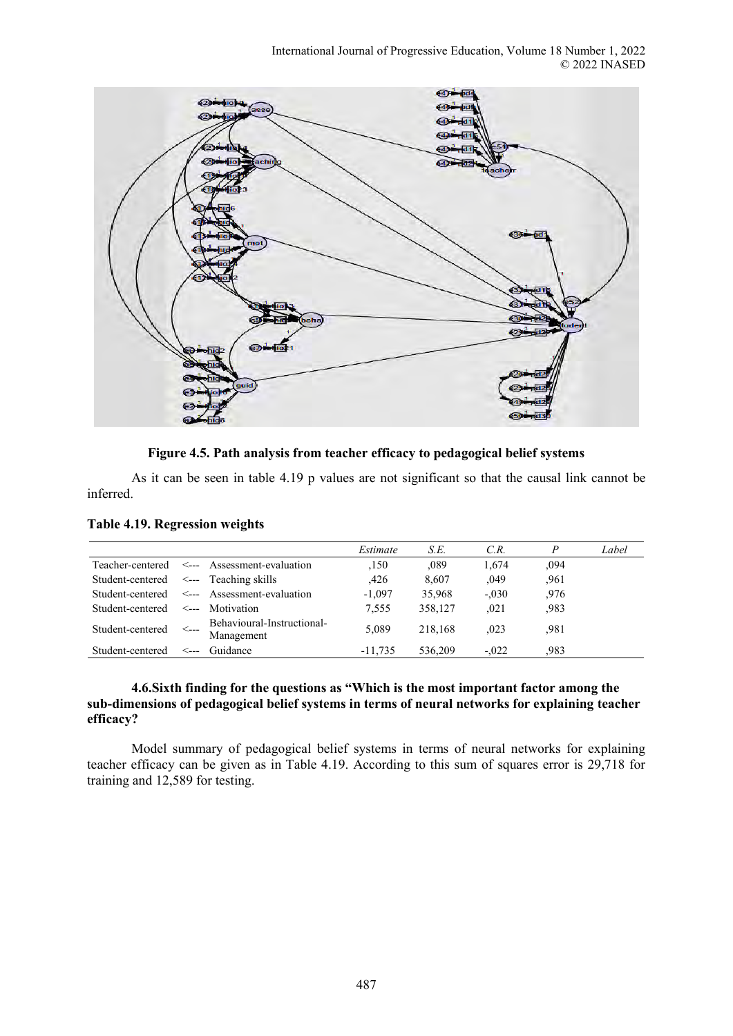

**Figure 4.5. Path analysis from teacher efficacy to pedagogical belief systems** 

As it can be seen in table 4.19 p values are not significant so that the causal link cannot be inferred.

|                  |       |                                          | Estimate  | S.E.    | C.R.    | D    | Label |
|------------------|-------|------------------------------------------|-----------|---------|---------|------|-------|
| Teacher-centered |       | $\leftarrow$ Assessment-evaluation       | ,150      | .089    | 1.674   | .094 |       |
| Student-centered |       | $\leq$ --- Teaching skills               | .426      | 8,607   | ,049    | .961 |       |
| Student-centered |       | $\leq$ --- Assessment-evaluation         | $-1,097$  | 35,968  | $-.030$ | .976 |       |
| Student-centered | <---- | Motivation                               | 7.555     | 358.127 | .021    | .983 |       |
| Student-centered | <---  | Behavioural-Instructional-<br>Management | 5,089     | 218.168 | .023    | .981 |       |
| Student-centered | <---  | Guidance                                 | $-11.735$ | 536.209 | $-.022$ | .983 |       |

**Table 4.19. Regression weights** 

## **4.6.Sixth finding for the questions as "Which is the most important factor among the sub-dimensions of pedagogical belief systems in terms of neural networks for explaining teacher efficacy?**

Model summary of pedagogical belief systems in terms of neural networks for explaining teacher efficacy can be given as in Table 4.19. According to this sum of squares error is 29,718 for training and 12,589 for testing.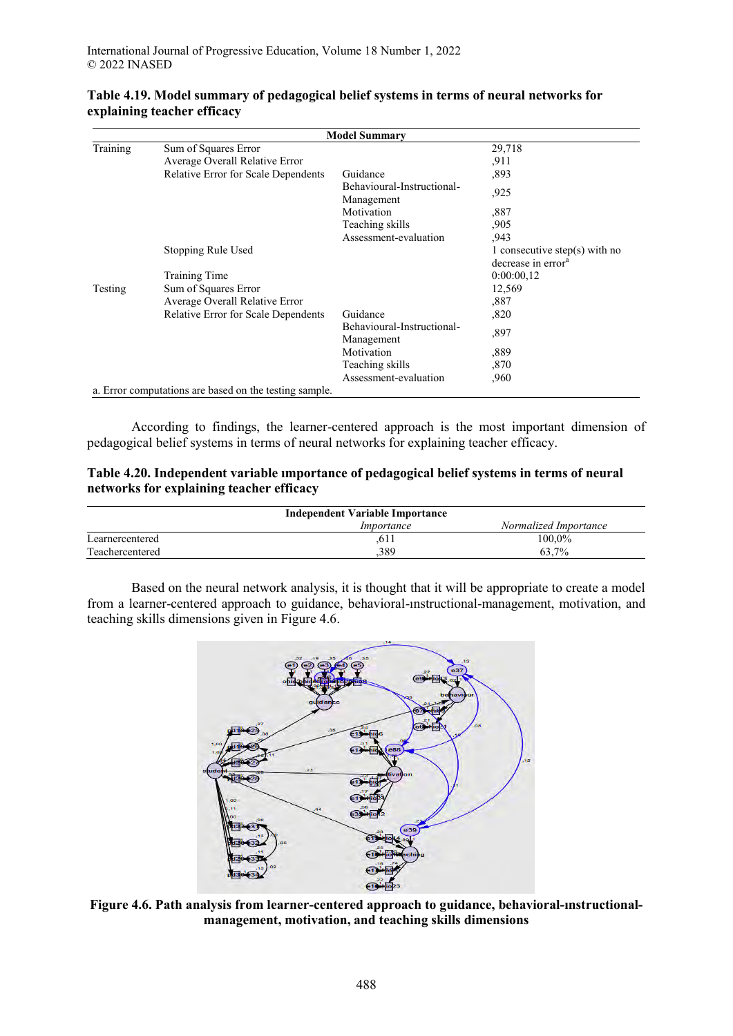|          | <b>Model Summary</b>                                   |                                          |                                                                 |  |  |  |  |  |
|----------|--------------------------------------------------------|------------------------------------------|-----------------------------------------------------------------|--|--|--|--|--|
| Training | Sum of Squares Error                                   |                                          | 29,718                                                          |  |  |  |  |  |
|          | Average Overall Relative Error                         |                                          | .911                                                            |  |  |  |  |  |
|          | Relative Error for Scale Dependents                    | Guidance                                 | ,893                                                            |  |  |  |  |  |
|          |                                                        | Behavioural-Instructional-<br>Management | .925                                                            |  |  |  |  |  |
|          |                                                        | Motivation                               | ,887                                                            |  |  |  |  |  |
|          |                                                        | Teaching skills                          | ,905                                                            |  |  |  |  |  |
|          |                                                        | Assessment-evaluation                    | .943                                                            |  |  |  |  |  |
|          | Stopping Rule Used                                     |                                          | 1 consecutive step(s) with no<br>decrease in error <sup>a</sup> |  |  |  |  |  |
|          | Training Time                                          |                                          | 0:00:00,12                                                      |  |  |  |  |  |
| Testing  | Sum of Squares Error                                   |                                          | 12,569                                                          |  |  |  |  |  |
|          | Average Overall Relative Error                         |                                          | ,887                                                            |  |  |  |  |  |
|          | Relative Error for Scale Dependents                    | Guidance                                 | ,820                                                            |  |  |  |  |  |
|          |                                                        | Behavioural-Instructional-<br>Management | ,897                                                            |  |  |  |  |  |
|          |                                                        | Motivation                               | ,889                                                            |  |  |  |  |  |
|          |                                                        | Teaching skills                          | ,870                                                            |  |  |  |  |  |
|          |                                                        | Assessment-evaluation                    | .960                                                            |  |  |  |  |  |
|          | a. Error computations are based on the testing sample. |                                          |                                                                 |  |  |  |  |  |

## **Table 4.19. Model summary of pedagogical belief systems in terms of neural networks for explaining teacher efficacy**

According to findings, the learner-centered approach is the most important dimension of pedagogical belief systems in terms of neural networks for explaining teacher efficacy.

| Table 4.20. Independent variable importance of pedagogical belief systems in terms of neural |  |
|----------------------------------------------------------------------------------------------|--|
| networks for explaining teacher efficacy                                                     |  |

| <b>Independent Variable Importance</b> |                   |                       |  |  |  |  |
|----------------------------------------|-------------------|-----------------------|--|--|--|--|
|                                        | <i>Importance</i> | Normalized Importance |  |  |  |  |
| Learnercentered                        | 611               | 100.0%                |  |  |  |  |
| Teachercentered                        | .389              | 63.7%                 |  |  |  |  |

Based on the neural network analysis, it is thought that it will be appropriate to create a model from a learner-centered approach to guidance, behavioral-ınstructional-management, motivation, and teaching skills dimensions given in Figure 4.6.



**Figure 4.6. Path analysis from learner-centered approach to guidance, behavioral-ınstructionalmanagement, motivation, and teaching skills dimensions**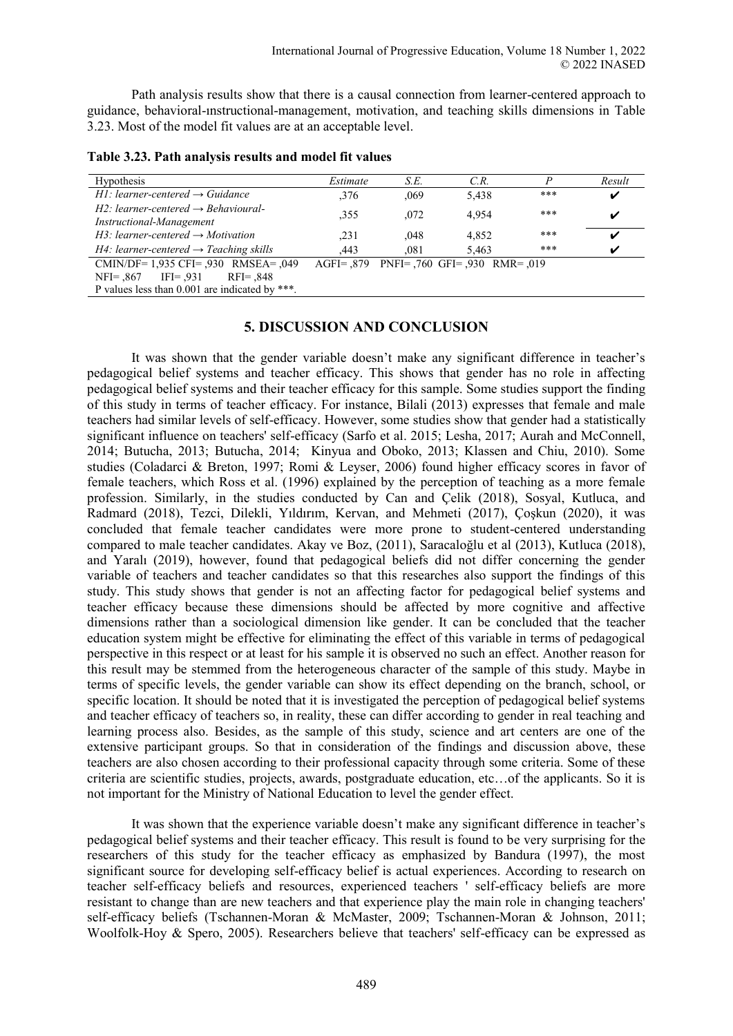Path analysis results show that there is a causal connection from learner-centered approach to guidance, behavioral-ınstructional-management, motivation, and teaching skills dimensions in Table 3.23. Most of the model fit values are at an acceptable level.

| <b>Hypothesis</b>                                                              | Estimate | S.E.                                  | C.R.  |       | Result |
|--------------------------------------------------------------------------------|----------|---------------------------------------|-------|-------|--------|
| $H1$ : learner-centered $\rightarrow$ Guidance                                 | .376     | ,069                                  | 5,438 | $***$ | V      |
| $H2$ : learner-centered $\rightarrow$ Behavioural-<br>Instructional-Management | .355     | ,072                                  | 4.954 | $***$ | v      |
| $H3$ : learner-centered $\rightarrow$ Motivation                               | .231     | .048                                  | 4.852 | $***$ | V      |
| $H4$ : learner-centered $\rightarrow$ Teaching skills                          | .443     | .081                                  | 5.463 | $***$ | ✔      |
| CMIN/DF= 1,935 CFI= ,930 RMSEA= ,049                                           |          | AGFI= 879 PNFI= 760 GFI= 930 RMR= 019 |       |       |        |
| $NFI = .867$ IFI= .931<br>$RFI = .848$                                         |          |                                       |       |       |        |
| P values less than 0.001 are indicated by ***.                                 |          |                                       |       |       |        |

**Table 3.23. Path analysis results and model fit values** 

## **5. DISCUSSION AND CONCLUSION**

It was shown that the gender variable doesn't make any significant difference in teacher's pedagogical belief systems and teacher efficacy. This shows that gender has no role in affecting pedagogical belief systems and their teacher efficacy for this sample. Some studies support the finding of this study in terms of teacher efficacy. For instance, Bilali (2013) expresses that female and male teachers had similar levels of self-efficacy. However, some studies show that gender had a statistically significant influence on teachers' self-efficacy (Sarfo et al. 2015; Lesha, 2017; Aurah and McConnell, 2014; Butucha, 2013; Butucha, 2014; Kinyua and Oboko, 2013; Klassen and Chiu, 2010). Some studies (Coladarci & Breton, 1997; Romi & Leyser, 2006) found higher efficacy scores in favor of female teachers, which Ross et al. (1996) explained by the perception of teaching as a more female profession. Similarly, in the studies conducted by Can and Çelik (2018), Sosyal, Kutluca, and Radmard (2018), Tezci, Dilekli, Yıldırım, Kervan, and Mehmeti (2017), Çoşkun (2020), it was concluded that female teacher candidates were more prone to student-centered understanding compared to male teacher candidates. Akay ve Boz, (2011), Saracaloğlu et al (2013), Kutluca (2018), and Yaralı (2019), however, found that pedagogical beliefs did not differ concerning the gender variable of teachers and teacher candidates so that this researches also support the findings of this study. This study shows that gender is not an affecting factor for pedagogical belief systems and teacher efficacy because these dimensions should be affected by more cognitive and affective dimensions rather than a sociological dimension like gender. It can be concluded that the teacher education system might be effective for eliminating the effect of this variable in terms of pedagogical perspective in this respect or at least for his sample it is observed no such an effect. Another reason for this result may be stemmed from the heterogeneous character of the sample of this study. Maybe in terms of specific levels, the gender variable can show its effect depending on the branch, school, or specific location. It should be noted that it is investigated the perception of pedagogical belief systems and teacher efficacy of teachers so, in reality, these can differ according to gender in real teaching and learning process also. Besides, as the sample of this study, science and art centers are one of the extensive participant groups. So that in consideration of the findings and discussion above, these teachers are also chosen according to their professional capacity through some criteria. Some of these criteria are scientific studies, projects, awards, postgraduate education, etc…of the applicants. So it is not important for the Ministry of National Education to level the gender effect.

It was shown that the experience variable doesn't make any significant difference in teacher's pedagogical belief systems and their teacher efficacy. This result is found to be very surprising for the researchers of this study for the teacher efficacy as emphasized by Bandura (1997), the most significant source for developing self-efficacy belief is actual experiences. According to research on teacher self-efficacy beliefs and resources, experienced teachers ' self-efficacy beliefs are more resistant to change than are new teachers and that experience play the main role in changing teachers' self-efficacy beliefs (Tschannen-Moran & McMaster, 2009; Tschannen-Moran & Johnson, 2011; Woolfolk-Hoy & Spero, 2005). Researchers believe that teachers' self-efficacy can be expressed as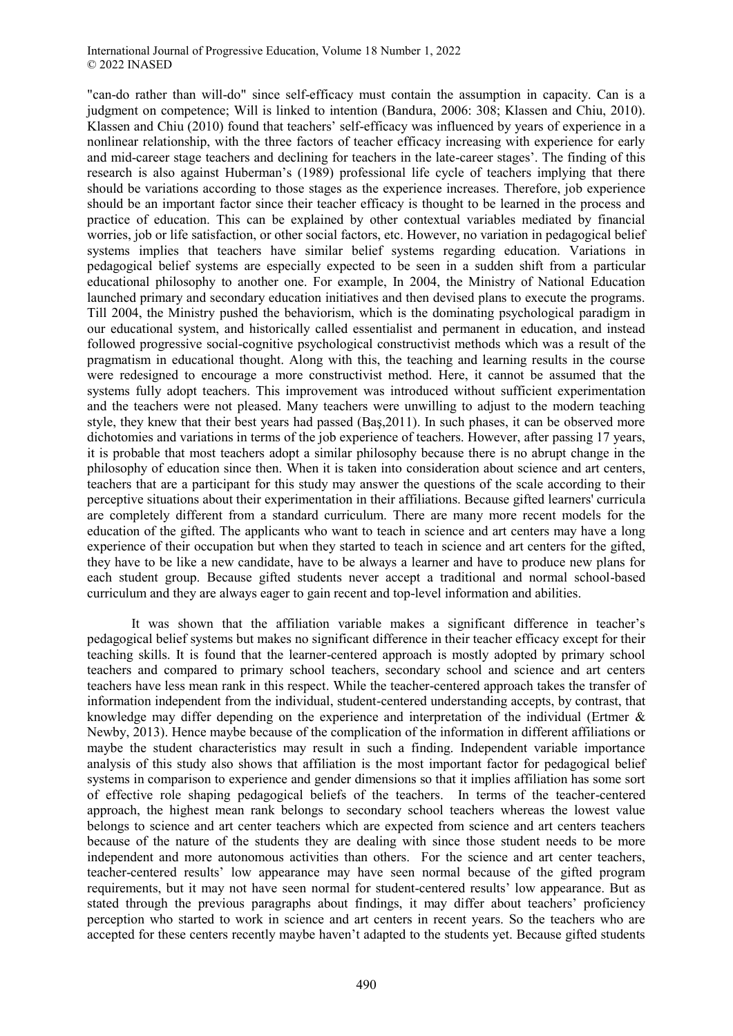"can-do rather than will-do" since self-efficacy must contain the assumption in capacity. Can is a judgment on competence; Will is linked to intention (Bandura, 2006: 308; Klassen and Chiu, 2010). Klassen and Chiu (2010) found that teachers' self-efficacy was influenced by years of experience in a nonlinear relationship, with the three factors of teacher efficacy increasing with experience for early and mid-career stage teachers and declining for teachers in the late-career stages'. The finding of this research is also against Huberman's (1989) professional life cycle of teachers implying that there should be variations according to those stages as the experience increases. Therefore, job experience should be an important factor since their teacher efficacy is thought to be learned in the process and practice of education. This can be explained by other contextual variables mediated by financial worries, job or life satisfaction, or other social factors, etc. However, no variation in pedagogical belief systems implies that teachers have similar belief systems regarding education. Variations in pedagogical belief systems are especially expected to be seen in a sudden shift from a particular educational philosophy to another one. For example, In 2004, the Ministry of National Education launched primary and secondary education initiatives and then devised plans to execute the programs. Till 2004, the Ministry pushed the behaviorism, which is the dominating psychological paradigm in our educational system, and historically called essentialist and permanent in education, and instead followed progressive social-cognitive psychological constructivist methods which was a result of the pragmatism in educational thought. Along with this, the teaching and learning results in the course were redesigned to encourage a more constructivist method. Here, it cannot be assumed that the systems fully adopt teachers. This improvement was introduced without sufficient experimentation and the teachers were not pleased. Many teachers were unwilling to adjust to the modern teaching style, they knew that their best years had passed (Baş,2011). In such phases, it can be observed more dichotomies and variations in terms of the job experience of teachers. However, after passing 17 years, it is probable that most teachers adopt a similar philosophy because there is no abrupt change in the philosophy of education since then. When it is taken into consideration about science and art centers, teachers that are a participant for this study may answer the questions of the scale according to their perceptive situations about their experimentation in their affiliations. Because gifted learners' curricula are completely different from a standard curriculum. There are many more recent models for the education of the gifted. The applicants who want to teach in science and art centers may have a long experience of their occupation but when they started to teach in science and art centers for the gifted, they have to be like a new candidate, have to be always a learner and have to produce new plans for each student group. Because gifted students never accept a traditional and normal school-based curriculum and they are always eager to gain recent and top-level information and abilities.

It was shown that the affiliation variable makes a significant difference in teacher's pedagogical belief systems but makes no significant difference in their teacher efficacy except for their teaching skills. It is found that the learner-centered approach is mostly adopted by primary school teachers and compared to primary school teachers, secondary school and science and art centers teachers have less mean rank in this respect. While the teacher-centered approach takes the transfer of information independent from the individual, student-centered understanding accepts, by contrast, that knowledge may differ depending on the experience and interpretation of the individual (Ertmer  $\&$ Newby, 2013). Hence maybe because of the complication of the information in different affiliations or maybe the student characteristics may result in such a finding. Independent variable importance analysis of this study also shows that affiliation is the most important factor for pedagogical belief systems in comparison to experience and gender dimensions so that it implies affiliation has some sort of effective role shaping pedagogical beliefs of the teachers. In terms of the teacher-centered approach, the highest mean rank belongs to secondary school teachers whereas the lowest value belongs to science and art center teachers which are expected from science and art centers teachers because of the nature of the students they are dealing with since those student needs to be more independent and more autonomous activities than others. For the science and art center teachers, teacher-centered results' low appearance may have seen normal because of the gifted program requirements, but it may not have seen normal for student-centered results' low appearance. But as stated through the previous paragraphs about findings, it may differ about teachers' proficiency perception who started to work in science and art centers in recent years. So the teachers who are accepted for these centers recently maybe haven't adapted to the students yet. Because gifted students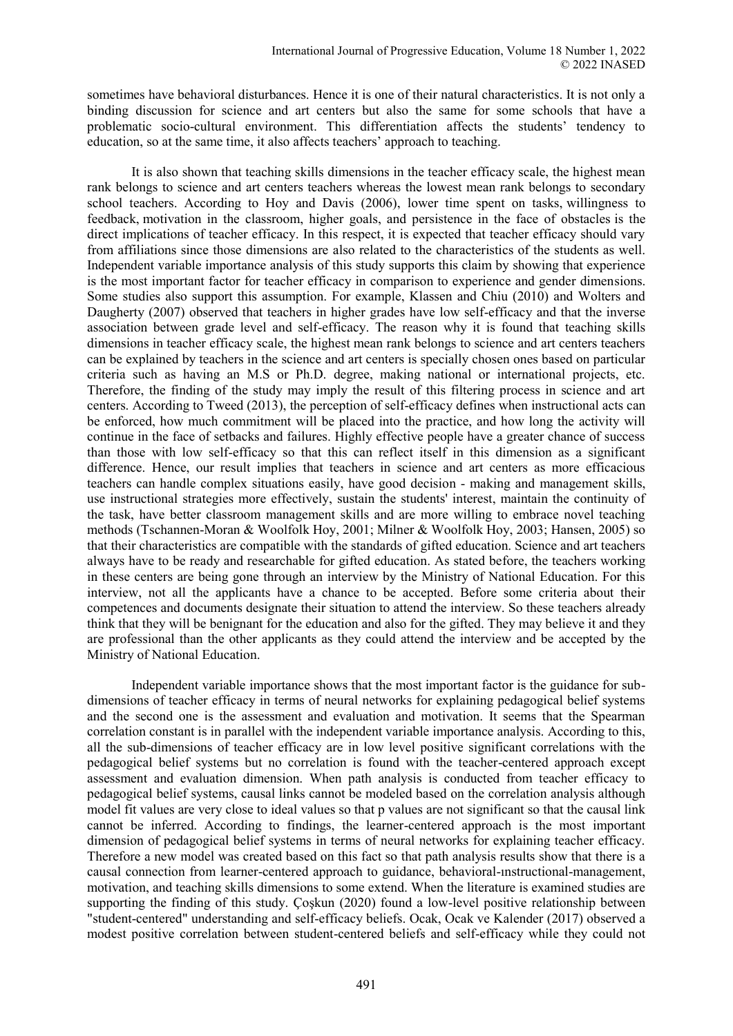sometimes have behavioral disturbances. Hence it is one of their natural characteristics. It is not only a binding discussion for science and art centers but also the same for some schools that have a problematic socio-cultural environment. This differentiation affects the students' tendency to education, so at the same time, it also affects teachers' approach to teaching.

It is also shown that teaching skills dimensions in the teacher efficacy scale, the highest mean rank belongs to science and art centers teachers whereas the lowest mean rank belongs to secondary school teachers. According to Hoy and Davis (2006), lower time spent on tasks, willingness to feedback, motivation in the classroom, higher goals, and persistence in the face of obstacles is the direct implications of teacher efficacy. In this respect, it is expected that teacher efficacy should vary from affiliations since those dimensions are also related to the characteristics of the students as well. Independent variable importance analysis of this study supports this claim by showing that experience is the most important factor for teacher efficacy in comparison to experience and gender dimensions. Some studies also support this assumption. For example, Klassen and Chiu (2010) and Wolters and Daugherty (2007) observed that teachers in higher grades have low self-efficacy and that the inverse association between grade level and self-efficacy. The reason why it is found that teaching skills dimensions in teacher efficacy scale, the highest mean rank belongs to science and art centers teachers can be explained by teachers in the science and art centers is specially chosen ones based on particular criteria such as having an M.S or Ph.D. degree, making national or international projects, etc. Therefore, the finding of the study may imply the result of this filtering process in science and art centers. According to Tweed (2013), the perception of self-efficacy defines when instructional acts can be enforced, how much commitment will be placed into the practice, and how long the activity will continue in the face of setbacks and failures. Highly effective people have a greater chance of success than those with low self-efficacy so that this can reflect itself in this dimension as a significant difference. Hence, our result implies that teachers in science and art centers as more efficacious teachers can handle complex situations easily, have good decision - making and management skills, use instructional strategies more effectively, sustain the students' interest, maintain the continuity of the task, have better classroom management skills and are more willing to embrace novel teaching methods (Tschannen-Moran & Woolfolk Hoy, 2001; Milner & Woolfolk Hoy, 2003; Hansen, 2005) so that their characteristics are compatible with the standards of gifted education. Science and art teachers always have to be ready and researchable for gifted education. As stated before, the teachers working in these centers are being gone through an interview by the Ministry of National Education. For this interview, not all the applicants have a chance to be accepted. Before some criteria about their competences and documents designate their situation to attend the interview. So these teachers already think that they will be benignant for the education and also for the gifted. They may believe it and they are professional than the other applicants as they could attend the interview and be accepted by the Ministry of National Education.

Independent variable importance shows that the most important factor is the guidance for subdimensions of teacher efficacy in terms of neural networks for explaining pedagogical belief systems and the second one is the assessment and evaluation and motivation. It seems that the Spearman correlation constant is in parallel with the independent variable importance analysis. According to this, all the sub-dimensions of teacher efficacy are in low level positive significant correlations with the pedagogical belief systems but no correlation is found with the teacher-centered approach except assessment and evaluation dimension. When path analysis is conducted from teacher efficacy to pedagogical belief systems, causal links cannot be modeled based on the correlation analysis although model fit values are very close to ideal values so that p values are not significant so that the causal link cannot be inferred. According to findings, the learner-centered approach is the most important dimension of pedagogical belief systems in terms of neural networks for explaining teacher efficacy. Therefore a new model was created based on this fact so that path analysis results show that there is a causal connection from learner-centered approach to guidance, behavioral-ınstructional-management, motivation, and teaching skills dimensions to some extend. When the literature is examined studies are supporting the finding of this study. Çoşkun (2020) found a low-level positive relationship between "student-centered" understanding and self-efficacy beliefs. Ocak, Ocak ve Kalender (2017) observed a modest positive correlation between student-centered beliefs and self-efficacy while they could not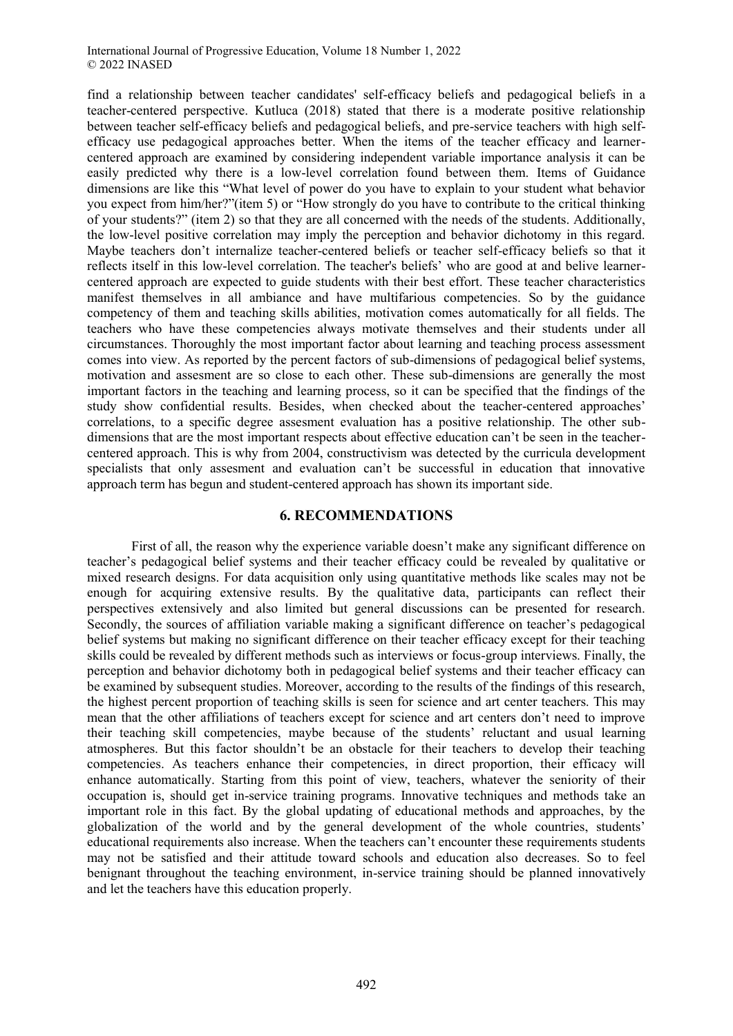find a relationship between teacher candidates' self-efficacy beliefs and pedagogical beliefs in a teacher-centered perspective. Kutluca (2018) stated that there is a moderate positive relationship between teacher self-efficacy beliefs and pedagogical beliefs, and pre-service teachers with high selfefficacy use pedagogical approaches better. When the items of the teacher efficacy and learnercentered approach are examined by considering independent variable importance analysis it can be easily predicted why there is a low-level correlation found between them. Items of Guidance dimensions are like this "What level of power do you have to explain to your student what behavior you expect from him/her?"(item 5) or "How strongly do you have to contribute to the critical thinking of your students?" (item 2) so that they are all concerned with the needs of the students. Additionally, the low-level positive correlation may imply the perception and behavior dichotomy in this regard. Maybe teachers don't internalize teacher-centered beliefs or teacher self-efficacy beliefs so that it reflects itself in this low-level correlation. The teacher's beliefs' who are good at and belive learnercentered approach are expected to guide students with their best effort. These teacher characteristics manifest themselves in all ambiance and have multifarious competencies. So by the guidance competency of them and teaching skills abilities, motivation comes automatically for all fields. The teachers who have these competencies always motivate themselves and their students under all circumstances. Thoroughly the most important factor about learning and teaching process assessment comes into view. As reported by the percent factors of sub-dimensions of pedagogical belief systems, motivation and assesment are so close to each other. These sub-dimensions are generally the most important factors in the teaching and learning process, so it can be specified that the findings of the study show confidential results. Besides, when checked about the teacher-centered approaches' correlations, to a specific degree assesment evaluation has a positive relationship. The other subdimensions that are the most important respects about effective education can't be seen in the teachercentered approach. This is why from 2004, constructivism was detected by the curricula development specialists that only assesment and evaluation can't be successful in education that innovative approach term has begun and student-centered approach has shown its important side.

#### **6. RECOMMENDATIONS**

First of all, the reason why the experience variable doesn't make any significant difference on teacher's pedagogical belief systems and their teacher efficacy could be revealed by qualitative or mixed research designs. For data acquisition only using quantitative methods like scales may not be enough for acquiring extensive results. By the qualitative data, participants can reflect their perspectives extensively and also limited but general discussions can be presented for research. Secondly, the sources of affiliation variable making a significant difference on teacher's pedagogical belief systems but making no significant difference on their teacher efficacy except for their teaching skills could be revealed by different methods such as interviews or focus-group interviews. Finally, the perception and behavior dichotomy both in pedagogical belief systems and their teacher efficacy can be examined by subsequent studies. Moreover, according to the results of the findings of this research, the highest percent proportion of teaching skills is seen for science and art center teachers. This may mean that the other affiliations of teachers except for science and art centers don't need to improve their teaching skill competencies, maybe because of the students' reluctant and usual learning atmospheres. But this factor shouldn't be an obstacle for their teachers to develop their teaching competencies. As teachers enhance their competencies, in direct proportion, their efficacy will enhance automatically. Starting from this point of view, teachers, whatever the seniority of their occupation is, should get in-service training programs. Innovative techniques and methods take an important role in this fact. By the global updating of educational methods and approaches, by the globalization of the world and by the general development of the whole countries, students' educational requirements also increase. When the teachers can't encounter these requirements students may not be satisfied and their attitude toward schools and education also decreases. So to feel benignant throughout the teaching environment, in-service training should be planned innovatively and let the teachers have this education properly.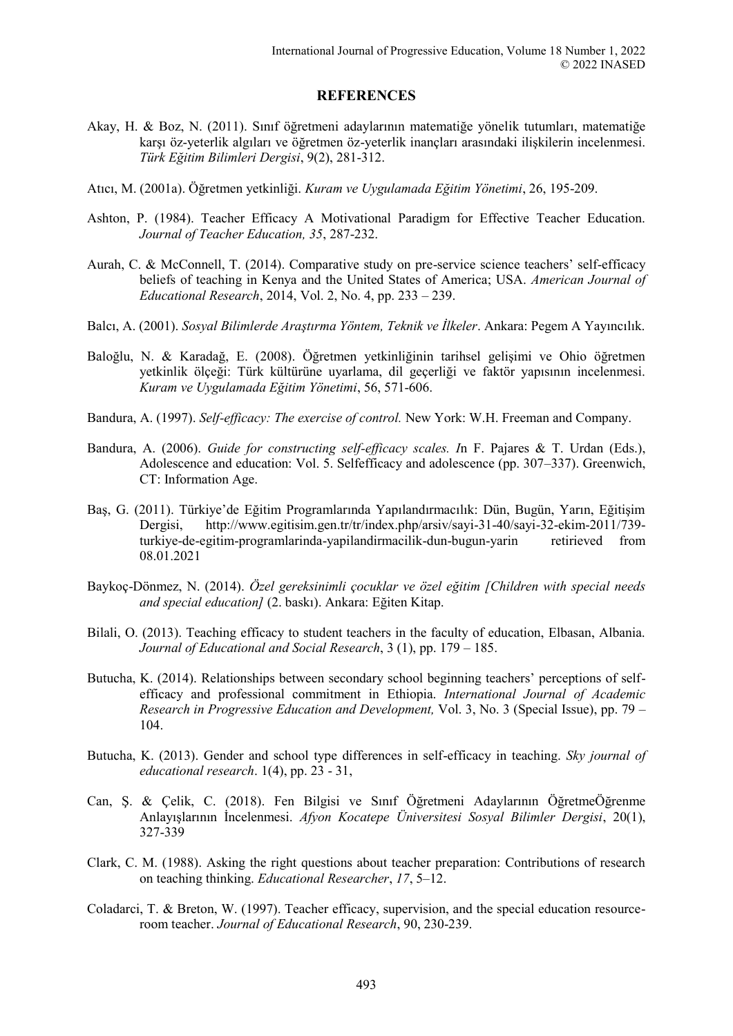#### **REFERENCES**

- Akay, H. & Boz, N. (2011). Sınıf öğretmeni adaylarının matematiğe yönelik tutumları, matematiğe karşı öz-yeterlik algıları ve öğretmen öz-yeterlik inançları arasındaki ilişkilerin incelenmesi. *Türk Eğitim Bilimleri Dergisi*, 9(2), 281-312.
- Atıcı, M. (2001a). Öğretmen yetkinliği. *Kuram ve Uygulamada Eğitim Yönetimi*, 26, 195-209.
- Ashton, P. (1984). Teacher Efficacy A Motivational Paradigm for Effective Teacher Education. *Journal of Teacher Education, 35*, 287-232.
- Aurah, C. & McConnell, T. (2014). Comparative study on pre-service science teachers' self-efficacy beliefs of teaching in Kenya and the United States of America; USA. *American Journal of Educational Research*, 2014, Vol. 2, No. 4, pp. 233 – 239.
- Balcı, A. (2001). *Sosyal Bilimlerde Araştırma Yöntem, Teknik ve İlkeler*. Ankara: Pegem A Yayıncılık.
- Baloğlu, N. & Karadağ, E. (2008). Öğretmen yetkinliğinin tarihsel gelişimi ve Ohio öğretmen yetkinlik ölçeği: Türk kültürüne uyarlama, dil geçerliği ve faktör yapısının incelenmesi. *Kuram ve Uygulamada Eğitim Yönetimi*, 56, 571-606.
- Bandura, A. (1997). *Self-efficacy: The exercise of control.* New York: W.H. Freeman and Company.
- Bandura, A. (2006). *Guide for constructing self-efficacy scales. I*n F. Pajares & T. Urdan (Eds.), Adolescence and education: Vol. 5. Selfefficacy and adolescence (pp. 307–337). Greenwich, CT: Information Age.
- Baş, G. (2011). Türkiye'de Eğitim Programlarında Yapılandırmacılık: Dün, Bugün, Yarın, Eğitişim Dergisi, http://www.egitisim.gen.tr/tr/index.php/arsiv/sayi-31-40/sayi-32-ekim-2011/739 turkiye-de-egitim-programlarinda-yapilandirmacilik-dun-bugun-yarin retirieved from 08.01.2021
- Baykoç-Dönmez, N. (2014). *Özel gereksinimli çocuklar ve özel eğitim [Children with special needs and special education]* (2. baskı). Ankara: Eğiten Kitap.
- Bilali, O. (2013). Teaching efficacy to student teachers in the faculty of education, Elbasan, Albania. *Journal of Educational and Social Research*, 3 (1), pp. 179 – 185.
- Butucha, K. (2014). Relationships between secondary school beginning teachers' perceptions of selfefficacy and professional commitment in Ethiopia. *International Journal of Academic Research in Progressive Education and Development,* Vol. 3, No. 3 (Special Issue), pp. 79 – 104.
- Butucha, K. (2013). Gender and school type differences in self-efficacy in teaching. *Sky journal of educational research*. 1(4), pp. 23 - 31,
- Can, Ş. & Çelik, C. (2018). Fen Bilgisi ve Sınıf Öğretmeni Adaylarının ÖğretmeÖğrenme Anlayışlarının İncelenmesi. *Afyon Kocatepe Üniversitesi Sosyal Bilimler Dergisi*, 20(1), 327-339
- Clark, C. M. (1988). Asking the right questions about teacher preparation: Contributions of research on teaching thinking. *Educational Researcher*, *17*, 5–12.
- Coladarci, T. & Breton, W. (1997). Teacher efficacy, supervision, and the special education resourceroom teacher. *Journal of Educational Research*, 90, 230-239.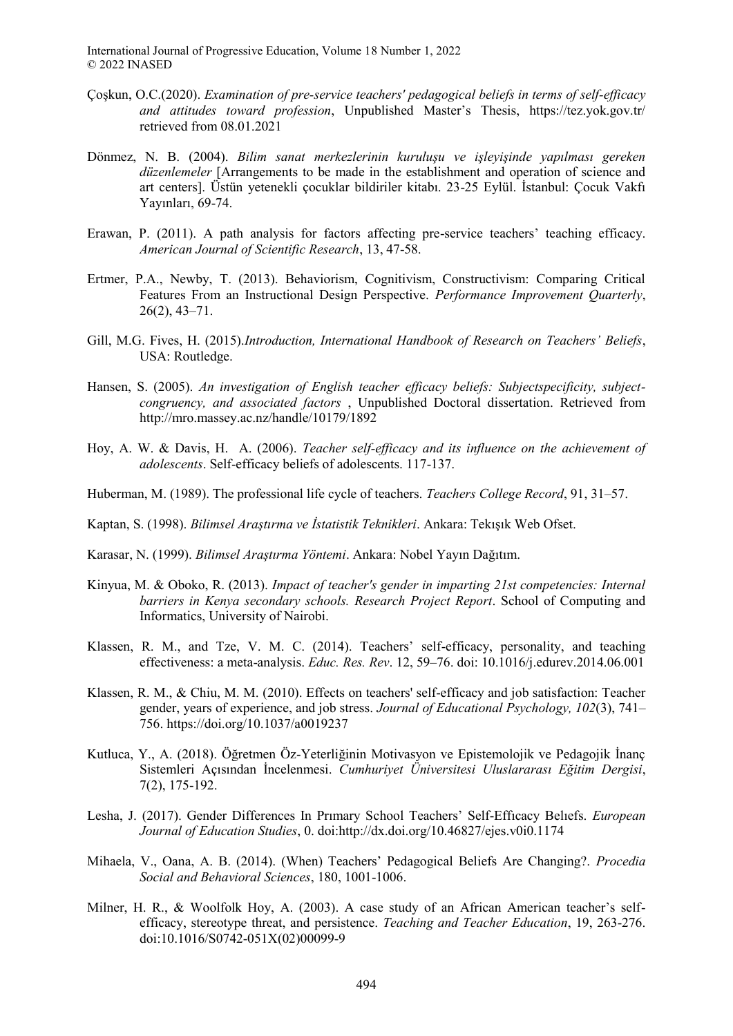- Çoşkun, O.C.(2020). *Examination of pre-service teachers' pedagogical beliefs in terms of self-efficacy and attitudes toward profession*, Unpublished Master's Thesis, https://tez.yok.gov.tr/ retrieved from 08.01.2021
- Dönmez, N. B. (2004). *Bilim sanat merkezlerinin kuruluşu ve işleyişinde yapılması gereken düzenlemeler* [Arrangements to be made in the establishment and operation of science and art centers]. Üstün yetenekli çocuklar bildiriler kitabı. 23-25 Eylül. İstanbul: Çocuk Vakfı Yayınları, 69-74.
- Erawan, P. (2011). A path analysis for factors affecting pre-service teachers' teaching efficacy. *American Journal of Scientific Research*, 13, 47-58.
- Ertmer, P.A., Newby, T. (2013). Behaviorism, Cognitivism, Constructivism: Comparing Critical Features From an Instructional Design Perspective. *Performance Improvement Quarterly*, 26(2), 43–71.
- Gill, M.G. Fives, H. (2015).*Introduction, International Handbook of Research on Teachers' Beliefs*, USA: Routledge.
- Hansen, S. (2005). *An investigation of English teacher efficacy beliefs: Subjectspecificity, subjectcongruency, and associated factors* , Unpublished Doctoral dissertation. Retrieved from http://mro.massey.ac.nz/handle/10179/1892
- Hoy, A. W. & Davis, H. A. (2006). *Teacher self-efficacy and its influence on the achievement of adolescents*. Self-efficacy beliefs of adolescents. 117-137.
- Huberman, M. (1989). The professional life cycle of teachers. *Teachers College Record*, 91, 31–57.
- Kaptan, S. (1998). *Bilimsel Araştırma ve İstatistik Teknikleri*. Ankara: Tekışık Web Ofset.
- Karasar, N. (1999). *Bilimsel Araştırma Yöntemi*. Ankara: Nobel Yayın Dağıtım.
- Kinyua, M. & Oboko, R. (2013). *Impact of teacher's gender in imparting 21st competencies: Internal barriers in Kenya secondary schools. Research Project Report*. School of Computing and Informatics, University of Nairobi.
- Klassen, R. M., and Tze, V. M. C. (2014). Teachers' self-efficacy, personality, and teaching effectiveness: a meta-analysis. *Educ. Res. Rev*. 12, 59–76. doi: 10.1016/j.edurev.2014.06.001
- Klassen, R. M., & Chiu, M. M. (2010). Effects on teachers' self-efficacy and job satisfaction: Teacher gender, years of experience, and job stress. *Journal of Educational Psychology, 102*(3), 741– 756. https://doi.org/10.1037/a0019237
- Kutluca, Y., A. (2018). Öğretmen Öz-Yeterliğinin Motivasyon ve Epistemolojik ve Pedagojik İnanç Sistemleri Açısından İncelenmesi. *Cumhuriyet Üniversitesi Uluslararası Eğitim Dergisi*, 7(2), 175-192.
- Lesha, J. (2017). Gender Differences In Prımary School Teachers' Self-Effıcacy Belıefs. *European Journal of Education Studies*, 0. doi:http://dx.doi.org/10.46827/ejes.v0i0.1174
- Mihaela, V., Oana, A. B. (2014). (When) Teachers' Pedagogical Beliefs Are Changing?. *Procedia Social and Behavioral Sciences*, 180, 1001-1006.
- Milner, H. R., & Woolfolk Hoy, A. (2003). A case study of an African American teacher's selfefficacy, stereotype threat, and persistence. *Teaching and Teacher Education*, 19, 263-276. doi:10.1016/S0742-051X(02)00099-9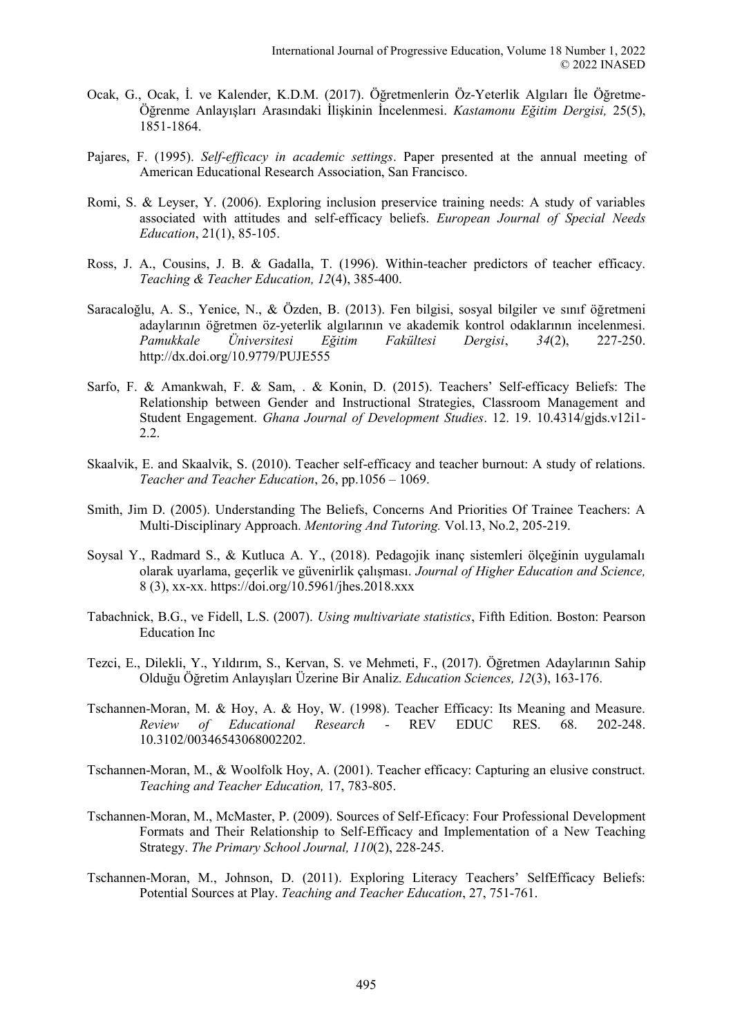- Ocak, G., Ocak, İ. ve Kalender, K.D.M. (2017). Öğretmenlerin Öz-Yeterlik Algıları İle Öğretme-Öğrenme Anlayışları Arasındaki İlişkinin İncelenmesi. *Kastamonu Eğitim Dergisi,* 25(5), 1851-1864.
- Pajares, F. (1995). *Self-efficacy in academic settings*. Paper presented at the annual meeting of American Educational Research Association, San Francisco.
- Romi, S. & Leyser, Y. (2006). Exploring inclusion preservice training needs: A study of variables associated with attitudes and self-efficacy beliefs. *European Journal of Special Needs Education*, 21(1), 85-105.
- Ross, J. A., Cousins, J. B. & Gadalla, T. (1996). Within-teacher predictors of teacher efficacy. *Teaching & Teacher Education, 12*(4), 385-400.
- Saracaloğlu, A. S., Yenice, N., & Özden, B. (2013). Fen bilgisi, sosyal bilgiler ve sınıf öğretmeni adaylarının öğretmen öz-yeterlik algılarının ve akademik kontrol odaklarının incelenmesi. *Pamukkale Üniversitesi Eğitim Fakültesi Dergisi*, *34*(2), 227-250. http://dx.doi.org/10.9779/PUJE555
- Sarfo, F. & Amankwah, F. & Sam, . & Konin, D. (2015). Teachers' Self-efficacy Beliefs: The Relationship between Gender and Instructional Strategies, Classroom Management and Student Engagement. *Ghana Journal of Development Studies*. 12. 19. 10.4314/gjds.v12i1- 2.2.
- Skaalvik, E. and Skaalvik, S. (2010). Teacher self-efficacy and teacher burnout: A study of relations. *Teacher and Teacher Education*, 26, pp.1056 – 1069.
- Smith, Jim D. (2005). Understanding The Beliefs, Concerns And Priorities Of Trainee Teachers: A Multi-Disciplinary Approach. *Mentoring And Tutoring.* Vol.13, No.2, 205-219.
- Soysal Y., Radmard S., & Kutluca A. Y., (2018). Pedagojik inanç sistemleri ölçeğinin uygulamalı olarak uyarlama, geçerlik ve güvenirlik çalışması. *Journal of Higher Education and Science,* 8 (3), xx-xx. https://doi.org/10.5961/jhes.2018.xxx
- Tabachnick, B.G., ve Fidell, L.S. (2007). *Using multivariate statistics*, Fifth Edition. Boston: Pearson Education Inc
- Tezci, E., Dilekli, Y., Yıldırım, S., Kervan, S. ve Mehmeti, F., (2017). Öğretmen Adaylarının Sahip Olduğu Öğretim Anlayışları Üzerine Bir Analiz. *Education Sciences, 12*(3), 163-176.
- Tschannen-Moran, M. & Hoy, A. & Hoy, W. (1998). Teacher Efficacy: Its Meaning and Measure. *Review of Educational Research* - REV EDUC RES. 68. 202-248. 10.3102/00346543068002202.
- Tschannen-Moran, M., & Woolfolk Hoy, A. (2001). Teacher efficacy: Capturing an elusive construct. *Teaching and Teacher Education,* 17, 783-805.
- Tschannen-Moran, M., McMaster, P. (2009). Sources of Self-Eficacy: Four Professional Development Formats and Their Relationship to Self-Efficacy and Implementation of a New Teaching Strategy. *The Primary School Journal, 110*(2), 228-245.
- Tschannen-Moran, M., Johnson, D. (2011). Exploring Literacy Teachers' SelfEfficacy Beliefs: Potential Sources at Play. *Teaching and Teacher Education*, 27, 751-761.